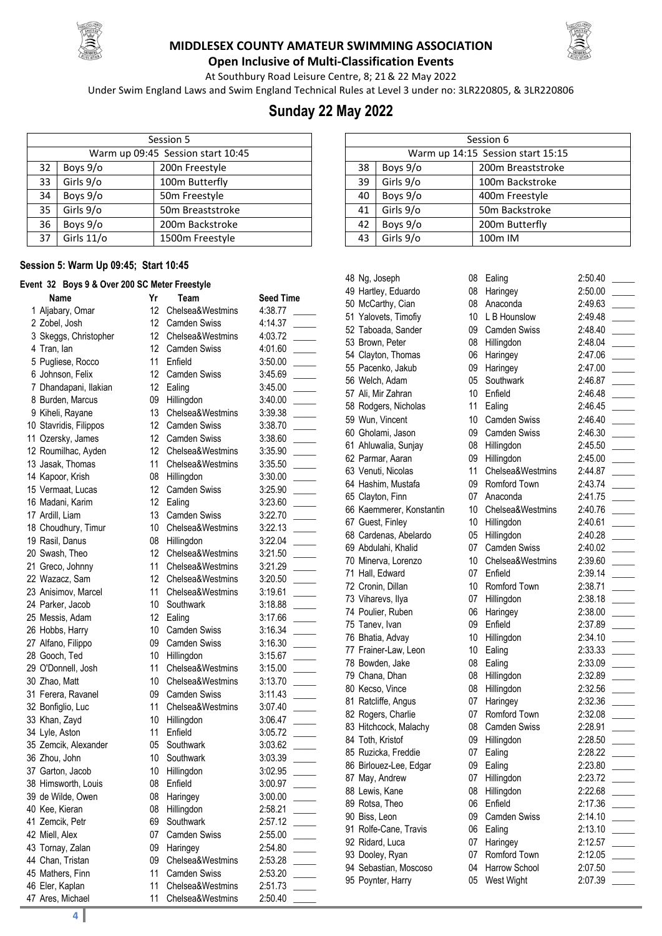



**Open Inclusive of Multi-Classification Events** At Southbury Road Leisure Centre, 8; 21& 22 May 2022

Under Swim England Laws and Swim England Technical Rules at Level 3 under no: 3LR220805, & 3LR220806

## **Sunday 22 May 2022**

|    | Session 5  |                                   |  |  |  |
|----|------------|-----------------------------------|--|--|--|
|    |            | Warm up 09:45 Session start 10:45 |  |  |  |
| 32 | Boys 9/o   | 200n Freestyle                    |  |  |  |
| 33 | Girls 9/o  | 100m Butterfly                    |  |  |  |
| 34 | Boys 9/o   | 50m Freestyle                     |  |  |  |
| 35 | Girls 9/o  | 50m Breaststroke                  |  |  |  |
| 36 | Boys 9/o   | 200m Backstroke                   |  |  |  |
| 37 | Girls 11/o | 1500m Freestyle                   |  |  |  |

#### **Session 5: Warm Up 09:45; Start 10:45**

#### **Event 32 Boys 9 & Over 200 SC Meter Freestyle**

| <u>UN VE DUJU V W UTVI LUV UU</u> |                 | .                   |                  |
|-----------------------------------|-----------------|---------------------|------------------|
| Name                              | Yr              | Team                | <b>Seed Time</b> |
| 1 Aljabary, Omar                  | 12              | Chelsea&Westmins    | 4:38.77          |
| 2 Zobel, Josh                     | 12              | <b>Camden Swiss</b> | 4:14.37          |
| 3 Skeggs, Christopher             | 12 <sup>2</sup> | Chelsea&Westmins    | 4:03.72          |
| 4 Tran, lan                       | 12              | <b>Camden Swiss</b> | 4:01.60          |
| 5 Pugliese, Rocco                 | 11              | Enfield             | 3:50.00          |
| 6 Johnson, Felix                  | 12              | Camden Swiss        | 3:45.69          |
| 7 Dhandapani, Ilakian             | 12              | Ealing              | 3:45.00          |
| 8 Burden, Marcus                  | 09              | Hillingdon          | 3:40.00          |
| 9 Kiheli, Rayane                  | 13              | Chelsea&Westmins    | 3:39.38          |
| 10 Stavridis, Filippos            | 12 <sup>2</sup> | <b>Camden Swiss</b> | 3:38.70          |
| 11 Ozersky, James                 | 12 <sup>2</sup> | <b>Camden Swiss</b> | 3:38.60          |
| 12 Roumilhac, Ayden               | 12              | Chelsea&Westmins    | 3:35.90          |
| 13 Jasak, Thomas                  | 11              | Chelsea&Westmins    | 3:35.50          |
| 14 Kapoor, Krish                  | 08              | Hillingdon          | 3:30.00          |
| 15 Vermaat, Lucas                 | 12              | <b>Camden Swiss</b> | 3:25.90          |
| 16 Madani, Karim                  | 12              | Ealing              | 3:23.60          |
| 17 Ardill, Liam                   | 13              | Camden Swiss        | 3:22.70          |
| 18 Choudhury, Timur               | 10              | Chelsea&Westmins    | 3:22.13          |
| 19 Rasil, Danus                   | 08              | Hillingdon          | 3:22.04          |
| 20 Swash, Theo                    | 12              | Chelsea&Westmins    | 3:21.50          |
| 21 Greco, Johnny                  | 11              | Chelsea&Westmins    | 3:21.29          |
| 22 Wazacz, Sam                    | 12              | Chelsea&Westmins    | 3:20.50          |
| 23 Anisimov, Marcel               | 11              | Chelsea&Westmins    | 3:19.61          |
| 24 Parker, Jacob                  | 10              | Southwark           | 3:18.88          |
| 25 Messis, Adam                   | 12              | Ealing              | 3:17.66          |
| 26 Hobbs, Harry                   | 10              | <b>Camden Swiss</b> | 3:16.34          |
| 27 Alfano, Filippo                | 09              | <b>Camden Swiss</b> | 3:16.30          |
| 28 Gooch, Ted                     | 10              | Hillingdon          | 3:15.67          |
| 29 O'Donnell, Josh                | 11              | Chelsea&Westmins    | 3:15.00          |
| 30 Zhao, Matt                     | 10              | Chelsea&Westmins    | 3:13.70          |
| 31 Ferera, Ravanel                | 09              | <b>Camden Swiss</b> | 3:11.43          |
| 32 Bonfiglio, Luc                 | 11              | Chelsea&Westmins    | 3:07.40          |
| 33 Khan, Zayd                     | 10              | Hillingdon          | 3:06.47          |
| 34 Lyle, Aston                    | 11              | Enfield             | 3:05.72          |
| 35 Zemcik, Alexander              | 05              | Southwark           | 3:03.62          |
| 36 Zhou, John                     | 10              | Southwark           | 3:03.39          |
| 37 Garton, Jacob                  | 10              | Hillingdon          | 3:02.95          |
| 38 Himsworth, Louis               |                 | 08 Enfield          | 3:00.97          |
| 39 de Wilde, Owen                 | 08              | Haringey            | 3:00.00          |
| 40 Kee, Kieran                    | 08              | Hillingdon          | 2:58.21          |
| 41 Zemcik, Petr                   | 69              | Southwark           | 2:57.12          |
| 42 Miell, Alex                    | 07              | Camden Swiss        | 2:55.00          |
| 43 Tornay, Zalan                  | 09              | Haringey            | 2:54.80          |
| 44 Chan, Tristan                  | 09              | Chelsea&Westmins    | 2:53.28          |
| 45 Mathers, Finn                  | 11              | <b>Camden Swiss</b> | 2:53.20          |
| 46 Eler, Kaplan                   | 11              | Chelsea&Westmins    | 2:51.73          |
| 47 Ares, Michael                  | 11              | Chelsea&Westmins    | 2:50.40          |
| 4                                 |                 |                     |                  |
|                                   |                 |                     |                  |

|    | Session 6                         |                   |  |  |
|----|-----------------------------------|-------------------|--|--|
|    | Warm up 14:15 Session start 15:15 |                   |  |  |
| 38 | Boys 9/o                          | 200m Breaststroke |  |  |
| 39 | Girls 9/o                         | 100m Backstroke   |  |  |
| 40 | Boys 9/o                          | 400m Freestyle    |  |  |
| 41 | Girls 9/o                         | 50m Backstroke    |  |  |
| 42 | Boys 9/o                          | 200m Butterfly    |  |  |
| 43 | Girls 9/o                         | 100m IM           |  |  |

|          | 48 Ng, Joseph                                                 |
|----------|---------------------------------------------------------------|
|          | 49 Hartley, Eduardo                                           |
|          | 50 McCarthy, Cian                                             |
|          |                                                               |
|          | 51 Yalovets, Timofiy<br>52 Taboada, Sander<br>53 Brown, Peter |
|          |                                                               |
|          | 54 Clayton, Thomas                                            |
| 55       | Pacenko, Jakub                                                |
| 56       | Welch, Adam                                                   |
| 57       | Ali, Mir Zahran                                               |
| 58       | Rodgers, Nicholas                                             |
| 59       | Wun, Vincent                                                  |
|          | 60 Gholami, Jason                                             |
|          | 61 Ahluwalia, Sunjay                                          |
|          | 62 Parmar, Aaran                                              |
|          | 63 Venuti, Nicolas                                            |
|          |                                                               |
|          | 64 Hashim, Mustafa<br>65 Clayton, Finn                        |
| 66       | Kaemmerer, Konstant                                           |
|          | 67 Guest, Finley                                              |
| 68       | Cardenas, Abelardo                                            |
| 69       | Abdulahi, Khalid                                              |
| 70       | Minerva, Lorenzo                                              |
| 71       | Hall, Edward                                                  |
|          | 72 Cronin, Dillan                                             |
|          |                                                               |
| 73       | Viharevs, Ilya<br>74 Poulier, Ruben                           |
| 75       | Tanev, Ivan                                                   |
| 76       | Bhatia, Advay                                                 |
| 77       | Frainer-Law, Leon                                             |
| 78       | Bowden, Jake                                                  |
| 79       | Chana, Dhan                                                   |
| 80       | Kecso, Vince                                                  |
| 81       |                                                               |
|          | Ratcliffe, Angus<br>82 Rogers, Charlie                        |
|          | 83 Hitchcock, Malachy                                         |
|          | 84 Toth, Kristof                                              |
|          | 85 Ruzicka, Freddie                                           |
| 86       |                                                               |
|          | Birlouez-Lee, Edgar                                           |
| 87<br>88 | May, Andrew                                                   |
|          | Lewis, Kane<br>Rotsa, Theo                                    |
| 89<br>90 |                                                               |
|          | Biss, Leon                                                    |
| 91       | Rolfe-Cane, Travis<br>92 Ridard, Luca                         |
|          |                                                               |
|          | 93 Dooley, Ryan                                               |
|          | 94 Sebastian, Moscoso                                         |
|          | 95 Poynter, Harry                                             |
|          |                                                               |

| 48 Ng, Joseph            | 08              | Ealing              | 2:50.40 |
|--------------------------|-----------------|---------------------|---------|
| 49 Hartley, Eduardo      | 08              | Haringey            | 2:50.00 |
| 50 McCarthy, Cian        | 08              | Anaconda            | 2:49.63 |
| 51 Yalovets, Timofiy     | 10 <sup>°</sup> | L B Hounslow        | 2:49.48 |
| 52 Taboada, Sander       | 09              | <b>Camden Swiss</b> | 2:48.40 |
| 53 Brown, Peter          | 08              | Hillingdon          | 2:48.04 |
| 54 Clayton, Thomas       | 06              | Haringey            | 2:47.06 |
| 55 Pacenko, Jakub        | 09              | Haringey            | 2:47.00 |
| 56 Welch, Adam           | 05              | Southwark           | 2:46.87 |
| 57 Ali, Mir Zahran       | 10 <sup>°</sup> | Enfield             | 2:46.48 |
| 58 Rodgers, Nicholas     | 11              | Ealing              | 2:46.45 |
| 59 Wun, Vincent          | 10 <sup>°</sup> | <b>Camden Swiss</b> | 2:46.40 |
| 60 Gholami, Jason        | 09              | <b>Camden Swiss</b> | 2:46.30 |
| 61 Ahluwalia, Sunjay     | 08              | Hillingdon          | 2:45.50 |
| 62 Parmar, Aaran         | 09              | Hillingdon          | 2:45.00 |
| 63 Venuti, Nicolas       | 11              | Chelsea&Westmins    | 2:44.87 |
| 64 Hashim, Mustafa       | 09              | Romford Town        | 2:43.74 |
| 65 Clayton, Finn         | 07              | Anaconda            | 2:41.75 |
| 66 Kaemmerer, Konstantin | 10 <sup>°</sup> | Chelsea&Westmins    | 2:40.76 |
| 67 Guest, Finley         | 10              | Hillingdon          | 2:40.61 |
| 68 Cardenas, Abelardo    | 05              | Hillingdon          | 2:40.28 |
| 69 Abdulahi, Khalid      | 07              | Camden Swiss        | 2:40.02 |
| 70 Minerva, Lorenzo      | 10 <sup>°</sup> | Chelsea&Westmins    | 2:39.60 |
| 71 Hall, Edward          | 07              | Enfield             | 2:39.14 |
| 72 Cronin, Dillan        | 10              | Romford Town        | 2:38.71 |
| 73 Viharevs, Ilya        | 07              | Hillingdon          | 2:38.18 |
| 74 Poulier, Ruben        | 06              | Haringey            | 2:38.00 |
| 75 Tanev, Ivan           | 09              | Enfield             | 2:37.89 |
| 76 Bhatia, Advay         | 10              | Hillingdon          | 2:34.10 |
| 77 Frainer-Law, Leon     | 10              | Ealing              | 2:33.33 |
| 78 Bowden, Jake          | 08              | Ealing              | 2:33.09 |
| 79 Chana, Dhan           | 08              | Hillingdon          | 2:32.89 |
| 80 Kecso, Vince          | 08              | Hillingdon          | 2:32.56 |
| 81 Ratcliffe, Angus      | 07              | Haringey            | 2:32.36 |
| 82 Rogers, Charlie       | 07              | Romford Town        | 2:32.08 |
| 83 Hitchcock, Malachy    | 08              | <b>Camden Swiss</b> | 2:28.91 |
| 84 Toth, Kristof         | 09              | Hillingdon          | 2:28.50 |
| 85 Ruzicka, Freddie      | 07              | Ealing              | 2:28.22 |
| 86 Birlouez-Lee, Edgar   | 09              | Ealing              | 2:23.80 |
| 87 May, Andrew           | 07              | Hillingdon          | 2:23.72 |
| 88 Lewis, Kane           | 08              | Hillingdon          | 2:22.68 |
| 89 Rotsa, Theo           | 06              | Enfield             | 2:17.36 |
| 90 Biss, Leon            | 09              | <b>Camden Swiss</b> | 2:14.10 |
| 91 Rolfe-Cane, Travis    | 06              | Ealing              | 2:13.10 |
| 92 Ridard, Luca          | 07              | Haringey            | 2:12.57 |
| 93 Dooley, Ryan          | 07              | Romford Town        | 2:12.05 |
| 94 Sebastian, Moscoso    | 04              | Harrow School       | 2:07.50 |
| 95 Poynter, Harry        | 05              | West Wight          | 2:07.39 |
|                          |                 |                     |         |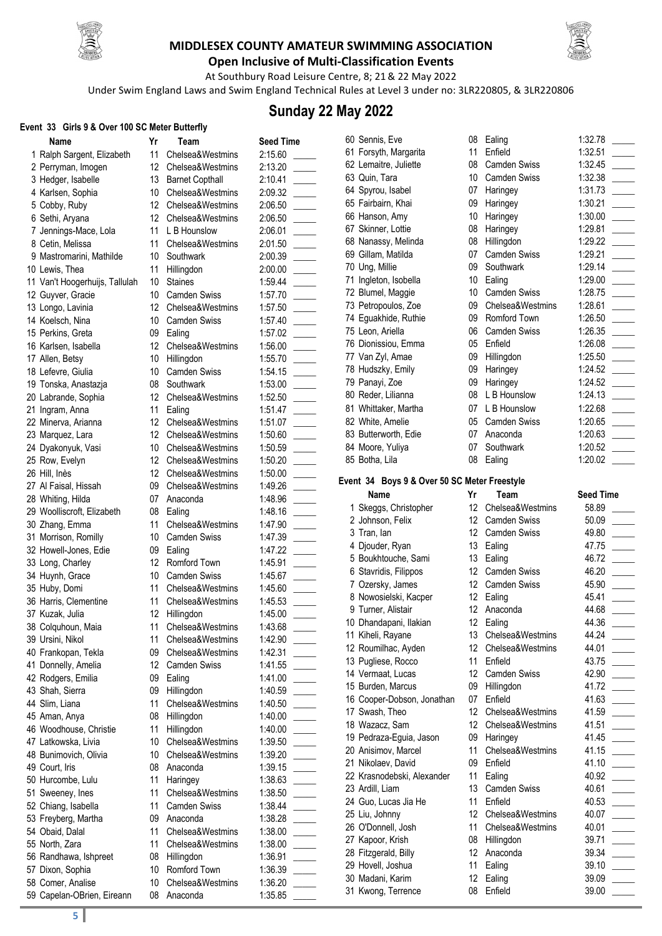



**Open Inclusive of Multi-Classification Events** At Southbury Road Leisure Centre, 8; 21& 22 May 2022

Under Swim England Laws and Swim England Technical Rules at Level 3 under no: 3LR220805, & 3LR220806

### **Sunday 22 May 2022**

| Event 33 Girls 9 & Over 100 SC Meter Butterfly |                                           |                 |                              |                    |  |
|------------------------------------------------|-------------------------------------------|-----------------|------------------------------|--------------------|--|
|                                                | Name                                      | Yr              | Team                         | <b>Seed Time</b>   |  |
|                                                | 1 Ralph Sargent, Elizabeth                | 11              | Chelsea&Westmins             | 2:15.60            |  |
|                                                | 2 Perryman, Imogen                        | 12              | Chelsea&Westmins             | 2:13.20            |  |
|                                                | 3 Hedger, Isabelle                        | 13              | <b>Barnet Copthall</b>       | 2:10.41            |  |
|                                                | 4 Karlsen, Sophia                         | 10              | Chelsea&Westmins             | 2:09.32            |  |
|                                                | 5 Cobby, Ruby                             | 12 <sup>°</sup> | Chelsea&Westmins             | 2:06.50            |  |
|                                                | 6 Sethi, Aryana                           | 12 <sup>°</sup> | Chelsea&Westmins             | 2:06.50            |  |
|                                                | 7 Jennings-Mace, Lola                     | 11              | L B Hounslow                 | 2:06.01            |  |
|                                                | 8 Cetin, Melissa                          | 11              | Chelsea&Westmins             | 2:01.50            |  |
|                                                | 9 Mastromarini, Mathilde                  | 10              | Southwark                    | 2:00.39            |  |
|                                                | 10 Lewis, Thea                            | 11              | Hillingdon                   | 2:00.00            |  |
|                                                | 11 Van't Hoogerhuijs, Tallulah            | 10              | <b>Staines</b>               | 1:59.44            |  |
|                                                | 12 Guyver, Gracie                         | 10              | <b>Camden Swiss</b>          | 1:57.70            |  |
|                                                | 13 Longo, Lavinia                         | 12              | Chelsea&Westmins             | 1:57.50            |  |
|                                                | 14 Koelsch, Nina                          | 10              | <b>Camden Swiss</b>          | 1:57.40            |  |
|                                                | 15 Perkins, Greta                         | 09              | Ealing                       | 1:57.02            |  |
|                                                | 16 Karlsen, Isabella                      | 12              | Chelsea&Westmins             | 1:56.00            |  |
|                                                | 17 Allen, Betsy                           | 10              | Hillingdon                   | 1:55.70            |  |
|                                                | 18 Lefevre, Giulia                        | 10 <sup>°</sup> | <b>Camden Swiss</b>          | 1:54.15            |  |
|                                                | 19 Tonska, Anastazja                      | 08              | Southwark                    | 1:53.00            |  |
|                                                | 20 Labrande, Sophia                       | 12              | Chelsea&Westmins             | 1:52.50            |  |
|                                                | 21 Ingram, Anna                           | 11              | Ealing                       | 1:51.47            |  |
|                                                | 22 Minerva, Arianna                       | 12              | Chelsea&Westmins             | 1:51.07            |  |
|                                                | 23 Marquez, Lara                          | 12              | Chelsea&Westmins             | 1:50.60            |  |
|                                                | 24 Dyakonyuk, Vasi                        | 10              | Chelsea&Westmins             | 1:50.59            |  |
|                                                | 25 Row, Evelyn                            | 12 <sup>°</sup> | Chelsea&Westmins             | 1:50.20            |  |
|                                                | 26 Hill, Inès                             | 12 <sup>°</sup> | Chelsea&Westmins             | 1:50.00            |  |
|                                                | 27 Al Faisal, Hissah                      | 09              | Chelsea&Westmins             | 1:49.26            |  |
|                                                | 28 Whiting, Hilda                         | 07              | Anaconda                     | 1:48.96            |  |
|                                                | 29 Woolliscroft, Elizabeth                | 08              | Ealing                       | 1:48.16            |  |
|                                                | 30 Zhang, Emma                            | 11              | Chelsea&Westmins             | 1:47.90            |  |
|                                                | 31 Morrison, Romilly                      | 10              | <b>Camden Swiss</b>          | 1:47.39            |  |
|                                                | 32 Howell-Jones, Edie                     | 09              | Ealing                       | 1:47.22            |  |
|                                                | 33 Long, Charley                          | 12              | Romford Town                 | 1:45.91            |  |
|                                                | 34 Huynh, Grace                           | 10              | <b>Camden Swiss</b>          | 1:45.67            |  |
|                                                | 35 Huby, Domi                             | 11              | Chelsea&Westmins             | 1:45.60            |  |
|                                                | 36 Harris, Clementine                     | 11              | Chelsea&Westmins             | 1:45.53            |  |
|                                                | 37 Kuzak, Julia                           | 12              | Hillingdon                   | 1:45.00            |  |
|                                                | 38 Colquhoun, Maia                        | 11              | Chelsea&Westmins             | 1:43.68            |  |
|                                                | 39 Ursini, Nikol                          | 11              | Chelsea&Westmins             | 1:42.90            |  |
|                                                | 40 Frankopan, Tekla                       | 09              | Chelsea&Westmins             | 1:42.31            |  |
|                                                | 41 Donnelly, Amelia                       | 12              | <b>Camden Swiss</b>          | 1:41.55            |  |
|                                                | 42 Rodgers, Emilia                        | 09              | Ealing                       | 1:41.00            |  |
|                                                | 43 Shah, Sierra                           | 09              | Hillingdon                   | 1:40.59            |  |
|                                                | 44 Slim, Liana                            | 11              | Chelsea&Westmins             | 1:40.50            |  |
|                                                | 45 Aman, Anya                             | 08              | Hillingdon                   | 1:40.00            |  |
|                                                | 46 Woodhouse, Christie                    | 11              | Hillingdon                   | 1:40.00            |  |
|                                                | 47 Latkowska, Livia                       | 10              | Chelsea&Westmins             | 1:39.50            |  |
|                                                | 48 Bunimovich, Olivia                     | 10              | Chelsea&Westmins             | 1:39.20            |  |
|                                                | 49 Court, Iris                            | 08              | Anaconda                     | 1:39.15            |  |
|                                                | 50 Hurcombe, Lulu                         | 11              | Haringey                     | 1:38.63            |  |
|                                                | 51 Sweeney, Ines                          | 11              | Chelsea&Westmins             | 1:38.50            |  |
|                                                | 52 Chiang, Isabella                       | 11<br>09        | <b>Camden Swiss</b>          | 1:38.44            |  |
|                                                | 53 Freyberg, Martha                       | 11              | Anaconda<br>Chelsea&Westmins | 1:38.28            |  |
|                                                | 54 Obaid, Dalal<br>55 North, Zara         | 11              | Chelsea&Westmins             | 1:38.00            |  |
|                                                |                                           | 08              |                              | 1:38.00            |  |
|                                                | 56 Randhawa, Ishpreet<br>57 Dixon, Sophia | 10              | Hillingdon<br>Romford Town   | 1:36.91<br>1:36.39 |  |
|                                                | 58 Comer, Analise                         | 10              | Chelsea&Westmins             | 1:36.20            |  |
|                                                | 59 Capelan-OBrien, Eireann                | 08              | Anaconda                     | 1:35.85            |  |
|                                                |                                           |                 |                              |                    |  |

| 60 Sennis, Eve                               |                       | 08 Ealing                    | 1:32.78          |  |
|----------------------------------------------|-----------------------|------------------------------|------------------|--|
| 61 Forsyth, Margarita                        | 11                    | Enfield                      | 1:32.51          |  |
| 62 Lemaitre, Juliette                        |                       | 08 Camden Swiss              | 1:32.45          |  |
| 63 Quin, Tara                                |                       | 10 Camden Swiss              | 1:32.38          |  |
| 64 Spyrou, Isabel                            | 07                    | Haringey                     | 1:31.73          |  |
| 65 Fairbairn, Khai                           | 09                    | Haringey                     | 1:30.21          |  |
| 66 Hanson, Amy                               | 10                    | Haringey                     | 1:30.00          |  |
| 67 Skinner, Lottie                           | 08                    | Haringey                     | 1:29.81          |  |
| 68 Nanassy, Melinda                          | 08                    | Hillingdon                   | 1:29.22          |  |
| 69 Gillam, Matilda                           | 07                    | <b>Camden Swiss</b>          | 1:29.21          |  |
| 70 Ung, Millie                               | 09                    | Southwark                    | 1:29.14          |  |
| 71 Ingleton, Isobella                        |                       | 10 Ealing                    | 1:29.00          |  |
| 72 Blumel, Maggie                            | 10 <sup>1</sup>       | <b>Camden Swiss</b>          | 1:28.75          |  |
| 73 Petropoulos, Zoe                          | 09                    | Chelsea&Westmins             | 1:28.61          |  |
| 74 Eguakhide, Ruthie                         | 09                    | Romford Town                 | 1:26.50          |  |
| 75 Leon, Ariella                             | 06                    | <b>Camden Swiss</b>          | 1:26.35          |  |
|                                              | 05                    | Enfield                      | 1:26.08          |  |
| 76 Dionissiou, Emma                          |                       |                              |                  |  |
| 77 Van Zyl, Amae                             | 09                    | Hillingdon                   | 1:25.50          |  |
| 78 Hudszky, Emily                            | 09                    | Haringey                     | 1:24.52          |  |
| 79 Panayi, Zoe                               | 09                    | Haringey                     | 1:24.52          |  |
| 80 Reder, Lilianna                           | 08                    | L B Hounslow                 | 1:24.13          |  |
| 81 Whittaker, Martha                         | 07                    | L B Hounslow                 | 1:22.68          |  |
| 82 White, Amelie                             | 05                    | <b>Camden Swiss</b>          | 1:20.65          |  |
| 83 Butterworth, Edie                         | 07                    | Anaconda                     | 1:20.63          |  |
| 84 Moore, Yuliya                             | 07                    | Southwark                    | 1:20.52          |  |
| 85 Botha, Lila                               | 08                    | Ealing                       | 1:20.02          |  |
| Event 34 Boys 9 & Over 50 SC Meter Freestyle |                       |                              |                  |  |
| Name                                         | Yr                    | Team                         | <b>Seed Time</b> |  |
| 1 Skeggs, Christopher                        | 12                    | Chelsea&Westmins             | 58.89            |  |
| 2 Johnson, Felix                             | 12                    | <b>Camden Swiss</b>          | 50.09            |  |
| 3 Tran, lan                                  |                       | 12 Camden Swiss              | 49.80            |  |
| 4 Djouder, Ryan                              |                       | 13 Ealing                    | 47.75            |  |
| 5 Boukhtouche, Sami                          |                       | 13 Ealing                    | 46.72            |  |
| 6 Stavridis, Filippos                        | 12                    | <b>Camden Swiss</b>          | 46.20            |  |
| 7 Ozersky, James                             |                       | 12 Camden Swiss              | 45.90            |  |
| 8 Nowosielski, Kacper                        |                       | 12 Ealing                    | 45.41            |  |
| 9 Turner, Alistair                           | 12 <sup>°</sup>       | Anaconda                     | 44.68            |  |
| 10 Dhandapani, Ilakian                       |                       | 12 Ealing                    | 44.36            |  |
| 11 Kiheli, Rayane                            | 13                    | Chelsea&Westmins             | 44.24            |  |
| 12 Roumilhac, Ayden                          |                       |                              | 44.01            |  |
|                                              | 12                    | Chelsea&Westmins             |                  |  |
|                                              | 11                    |                              |                  |  |
| 13 Pugliese, Rocco<br>14 Vermaat, Lucas      | 12                    | Enfield                      | 43.75<br>42.90   |  |
|                                              | 09                    | Camden Swiss<br>Hillingdon   |                  |  |
| 15 Burden, Marcus                            | 07                    |                              | 41.72            |  |
| 16 Cooper-Dobson, Jonathan                   |                       | Enfield<br>Chelsea&Westmins  | 41.63<br>41.59   |  |
| 17 Swash, Theo                               | 12                    | Chelsea&Westmins             |                  |  |
| 18 Wazacz, Sam                               | 12 <sup>°</sup><br>09 |                              | 41.51<br>41.45   |  |
| 19 Pedraza-Eguia, Jason                      | 11                    | Haringey<br>Chelsea&Westmins |                  |  |
| 20 Anisimov, Marcel                          |                       |                              | 41.15            |  |
| 21 Nikolaev, David                           | 09                    | Enfield                      | 41.10            |  |
| 22 Krasnodebski, Alexander                   | 11                    | Ealing                       | 40.92            |  |
| 23 Ardill, Liam                              | 13                    | Camden Swiss                 | 40.61            |  |
| 24 Guo, Lucas Jia He                         | 11<br>12              | Enfield<br>Chelsea&Westmins  | 40.53            |  |
| 25 Liu, Johnny                               | 11                    |                              | 40.07            |  |
| 26 O'Donnell, Josh                           | 08                    | Chelsea&Westmins             | 40.01            |  |
| 27 Kapoor, Krish                             |                       | Hillingdon                   | 39.71            |  |
| 28 Fitzgerald, Billy                         | 12<br>11              | Anaconda                     | 39.34            |  |
| 29 Hovell, Joshua<br>30 Madani, Karim        | 12                    | Ealing<br>Ealing             | 39.10<br>39.09   |  |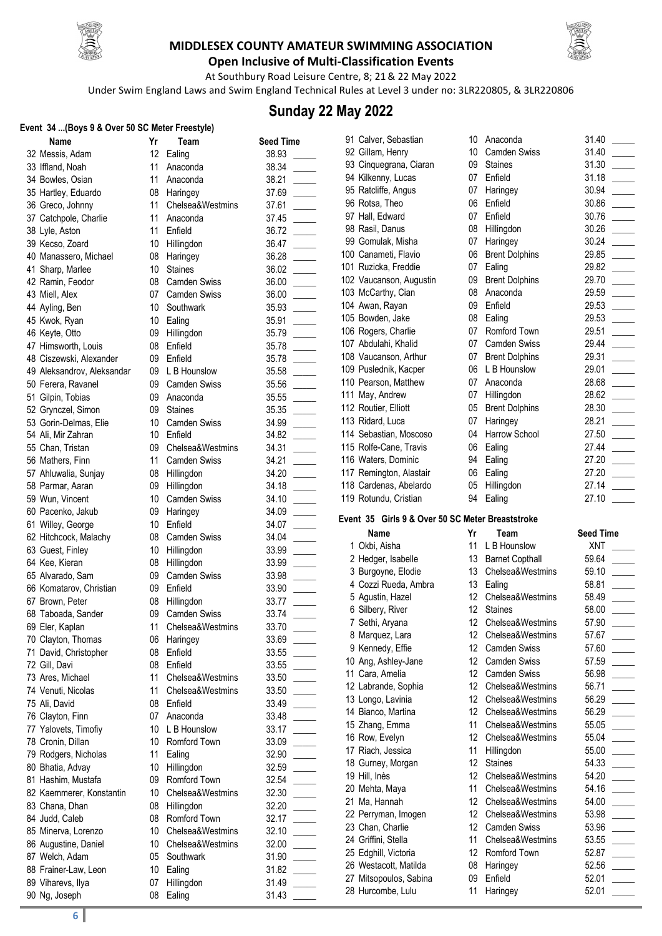

#### **MIDDLESEX COUNTY AMATEUR SWIMMING ASSOCIATION Open Inclusive of Multi-Classification Events**



At Southbury Road Leisure Centre, 8; 21& 22 May 2022

Under Swim England Laws and Swim England Technical Rules at Level 3 under no: 3LR220805, & 3LR220806

### **Sunday 22 May 2022**

#### **Event 34 ...(Boys 9 & Over 50 SC Meter Freestyle)**

| Name                       | Yr | Team                | <b>Seed Time</b> |
|----------------------------|----|---------------------|------------------|
| 32 Messis, Adam            | 12 | Ealing              | 38.93            |
| 33 Iffland, Noah           | 11 | Anaconda            | 38.34            |
| 34 Bowles, Osian           | 11 | Anaconda            | 38.21            |
| 35 Hartley, Eduardo        | 08 | Haringey            | 37.69            |
| 36 Greco, Johnny           | 11 | Chelsea&Westmins    | 37.61            |
| 37 Catchpole, Charlie      | 11 | Anaconda            | 37.45            |
| 38 Lyle, Aston             | 11 | Enfield             | 36.72            |
| 39 Kecso, Zoard            | 10 | Hillingdon          | 36.47            |
| 40 Manassero, Michael      | 08 | Haringey            | 36.28            |
| 41 Sharp, Marlee           | 10 | <b>Staines</b>      | 36.02            |
| 42 Ramin, Feodor           | 08 | <b>Camden Swiss</b> | 36.00            |
| 43 Miell, Alex             | 07 | <b>Camden Swiss</b> | 36.00            |
| 44 Ayling, Ben             | 10 | Southwark           | 35.93            |
| 45 Kwok, Ryan              | 10 | Ealing              | 35.91            |
| 46 Keyte, Otto             | 09 | Hillingdon          | 35.79            |
| 47 Himsworth, Louis        | 08 | Enfield             | 35.78            |
|                            | 09 | Enfield             | 35.78            |
| 48 Ciszewski, Alexander    | 09 |                     |                  |
| 49 Aleksandrov, Aleksandar |    | L B Hounslow        | 35.58            |
| 50 Ferera, Ravanel         | 09 | <b>Camden Swiss</b> | 35.56            |
| 51 Gilpin, Tobias          | 09 | Anaconda            | 35.55            |
| 52 Grynczel, Simon         | 09 | <b>Staines</b>      | 35.35            |
| 53 Gorin-Delmas, Elie      | 10 | Camden Swiss        | 34.99            |
| 54 Ali, Mir Zahran         | 10 | Enfield             | 34.82            |
| 55 Chan, Tristan           | 09 | Chelsea&Westmins    | 34.31            |
| 56 Mathers, Finn           | 11 | Camden Swiss        | 34.21            |
| 57 Ahluwalia, Sunjay       | 08 | Hillingdon          | 34.20            |
| 58 Parmar, Aaran           | 09 | Hillingdon          | 34.18            |
| 59 Wun, Vincent            | 10 | <b>Camden Swiss</b> | 34.10            |
| 60 Pacenko, Jakub          | 09 | Haringey            | 34.09            |
| 61 Willey, George          | 10 | Enfield             | 34.07            |
| 62 Hitchcock, Malachy      | 08 | <b>Camden Swiss</b> | 34.04            |
| 63 Guest, Finley           | 10 | Hillingdon          | 33.99            |
| 64 Kee, Kieran             | 08 | Hillingdon          | 33.99            |
| 65 Alvarado, Sam           | 09 | <b>Camden Swiss</b> | 33.98            |
| 66 Komatarov, Christian    | 09 | Enfield             | 33.90            |
| 67 Brown, Peter            | 08 | Hillingdon          | 33.77            |
| 68 Taboada, Sander         | 09 | <b>Camden Swiss</b> | 33.74            |
| 69 Eler, Kaplan            |    | 11 Chelsea&Westmins | 33.70            |
| 70 Clayton, Thomas         | 06 | Haringey            | 33.69            |
| 71 David, Christopher      | 08 | Enfield             | 33.55            |
| 72 Gill, Davi              | 08 | Enfield             | 33.55            |
| 73 Ares, Michael           | 11 | Chelsea&Westmins    | 33.50            |
|                            | 11 | Chelsea&Westmins    |                  |
| 74 Venuti, Nicolas         |    |                     | 33.50            |
| 75 Ali, David              | 08 | Enfield             | 33.49            |
| 76 Clayton, Finn           | 07 | Anaconda            | 33.48            |
| 77 Yalovets, Timofiy       | 10 | L B Hounslow        | 33.17            |
| 78 Cronin, Dillan          | 10 | Romford Town        | 33.09            |
| 79 Rodgers, Nicholas       | 11 | Ealing              | 32.90            |
| 80 Bhatia, Advay           | 10 | Hillingdon          | 32.59            |
| 81 Hashim, Mustafa         | 09 | Romford Town        | 32.54            |
| 82 Kaemmerer, Konstantin   | 10 | Chelsea&Westmins    | 32.30            |
| 83 Chana, Dhan             | 08 | Hillingdon          | 32.20            |
| 84 Judd, Caleb             | 08 | Romford Town        | 32.17            |
| 85 Minerva, Lorenzo        | 10 | Chelsea&Westmins    | 32.10            |
| 86 Augustine, Daniel       | 10 | Chelsea&Westmins    | 32.00            |
| 87 Welch, Adam             | 05 | Southwark           | 31.90            |
| 88 Frainer-Law, Leon       | 10 | Ealing              | 31.82            |
| 89 Viharevs, Ilya          | 07 | Hillingdon          | 31.49            |
|                            |    |                     |                  |

| 12<br>38.93<br>32 Messis, Adam<br>Ealing<br>11<br>38.34<br>33 Iffland, Noah<br>Anaconda<br>11<br>38.21<br>34 Bowles, Osian<br>Anaconda<br>35 Hartley, Eduardo<br>08<br>Haringey<br>37.69<br>36 Greco, Johnny<br>11<br>Chelsea&Westmins<br>37.61<br>11<br>37 Catchpole, Charlie<br>Anaconda<br>37.45<br>11<br>38 Lyle, Aston<br>Enfield<br>36.72<br>10<br>39 Kecso, Zoard<br>Hillingdon<br>36.47<br>40 Manassero, Michael<br>08<br>Haringey<br>36.28<br>10<br>41 Sharp, Marlee<br>Staines<br>36.02<br>42 Ramin, Feodor<br>08<br>Camden Swiss<br>36.00<br>07<br>43 Miell, Alex<br><b>Camden Swiss</b><br>36.00<br>10<br>Southwark<br>44 Ayling, Ben<br>35.93<br>45 Kwok, Ryan<br>10<br>Ealing<br>35.91<br>46 Keyte, Otto<br>09<br>Hillingdon<br>35.79<br>47 Himsworth, Louis<br>08<br>Enfield<br>35.78<br>48 Ciszewski, Alexander<br>09<br>Enfield<br>35.78<br>49 Aleksandrov, Aleksandar<br>09<br>L B Hounslow<br>35.58<br>50 Ferera, Ravanel<br>09<br>Camden Swiss<br>35.56<br>51 Gilpin, Tobias<br>09<br>35.55<br>Anaconda<br>52 Grynczel, Simon<br>09<br><b>Staines</b><br>35.35<br>53 Gorin-Delmas, Elie<br>10<br><b>Camden Swiss</b><br>34.99<br>10<br>Enfield<br>54 Ali, Mir Zahran<br>34.82<br>55 Chan, Tristan<br>09<br>Chelsea&Westmins<br>34.31<br>11<br>56 Mathers, Finn<br><b>Camden Swiss</b><br>34.21<br>57 Ahluwalia, Sunjay<br>34.20<br>08<br>Hillingdon<br>Hillingdon<br>58 Parmar, Aaran<br>09<br>34.18<br>59 Wun, Vincent<br>10<br><b>Camden Swiss</b><br>34.10<br>60 Pacenko, Jakub<br>09<br>Haringey<br>34.09<br>10<br>Enfield<br>61 Willey, George<br>34.07<br><b>Camden Swiss</b><br>62 Hitchcock, Malachy<br>08<br>34.04<br>10<br>Hillingdon<br>63 Guest, Finley<br>33.99<br>64 Kee, Kieran<br>08<br>Hillingdon<br>33.99<br>09<br><b>Camden Swiss</b><br>65 Alvarado, Sam<br>33.98<br>09<br>66 Komatarov, Christian<br>Enfield<br>33.90<br>08<br>Hillingdon<br>33.77<br>67 Brown, Peter<br>09<br><b>Camden Swiss</b><br>33.74<br>68 Taboada, Sander<br>69 Eler, Kaplan<br>11<br>Chelsea&Westmins<br>33.70<br>70 Clayton, Thomas<br>06<br>Haringey<br>33.69<br>Enfield<br>71 David, Christopher<br>08<br>33.55<br>72 Gill, Davi<br>Enfield<br>08<br>33.55<br>73 Ares, Michael<br>11<br>Chelsea&Westmins<br>33.50<br>11<br>74 Venuti, Nicolas<br>Chelsea&Westmins<br>33.50<br>75 Ali, David<br>08<br>Enfield<br>33.49<br>76 Clayton, Finn<br>07<br>Anaconda<br>33.48<br>L B Hounslow<br>77 Yalovets, Timofiy<br>10<br>33.17<br>10<br>Romford Town<br>78 Cronin, Dillan<br>33.09<br>11<br>79 Rodgers, Nicholas<br>Ealing<br>32.90<br>10<br>80 Bhatia, Advay<br>Hillingdon<br>32.59<br>09<br>Romford Town<br>81 Hashim, Mustafa<br>32.54<br>Chelsea&Westmins<br>82 Kaemmerer, Konstantin<br>10<br>32.30<br>08<br>83 Chana, Dhan<br>Hillingdon<br>32.20<br>Romford Town<br>84 Judd, Caleb<br>08<br>32.17<br>Chelsea&Westmins<br>85 Minerva, Lorenzo<br>10<br>32.10<br>86 Augustine, Daniel<br>10<br>Chelsea&Westmins<br>32.00<br>87 Welch, Adam<br>05<br>Southwark<br>31.90<br>88 Frainer-Law, Leon<br>10<br>Ealing<br>31.82<br>89 Viharevs, Ilya<br>07<br>Hillingdon<br>31.49<br>90 Ng, Joseph<br>08<br>Ealing<br>31.43 | Name | Yr | Team | <b>Seed Time</b> |
|--------------------------------------------------------------------------------------------------------------------------------------------------------------------------------------------------------------------------------------------------------------------------------------------------------------------------------------------------------------------------------------------------------------------------------------------------------------------------------------------------------------------------------------------------------------------------------------------------------------------------------------------------------------------------------------------------------------------------------------------------------------------------------------------------------------------------------------------------------------------------------------------------------------------------------------------------------------------------------------------------------------------------------------------------------------------------------------------------------------------------------------------------------------------------------------------------------------------------------------------------------------------------------------------------------------------------------------------------------------------------------------------------------------------------------------------------------------------------------------------------------------------------------------------------------------------------------------------------------------------------------------------------------------------------------------------------------------------------------------------------------------------------------------------------------------------------------------------------------------------------------------------------------------------------------------------------------------------------------------------------------------------------------------------------------------------------------------------------------------------------------------------------------------------------------------------------------------------------------------------------------------------------------------------------------------------------------------------------------------------------------------------------------------------------------------------------------------------------------------------------------------------------------------------------------------------------------------------------------------------------------------------------------------------------------------------------------------------------------------------------------------------------------------------------------------------------------------------------------------------------------------------------------------------------------------------------------------------------------------------------------------------------------------------------------------------------------------------------------------------------------------------|------|----|------|------------------|
|                                                                                                                                                                                                                                                                                                                                                                                                                                                                                                                                                                                                                                                                                                                                                                                                                                                                                                                                                                                                                                                                                                                                                                                                                                                                                                                                                                                                                                                                                                                                                                                                                                                                                                                                                                                                                                                                                                                                                                                                                                                                                                                                                                                                                                                                                                                                                                                                                                                                                                                                                                                                                                                                                                                                                                                                                                                                                                                                                                                                                                                                                                                                            |      |    |      |                  |
|                                                                                                                                                                                                                                                                                                                                                                                                                                                                                                                                                                                                                                                                                                                                                                                                                                                                                                                                                                                                                                                                                                                                                                                                                                                                                                                                                                                                                                                                                                                                                                                                                                                                                                                                                                                                                                                                                                                                                                                                                                                                                                                                                                                                                                                                                                                                                                                                                                                                                                                                                                                                                                                                                                                                                                                                                                                                                                                                                                                                                                                                                                                                            |      |    |      |                  |
|                                                                                                                                                                                                                                                                                                                                                                                                                                                                                                                                                                                                                                                                                                                                                                                                                                                                                                                                                                                                                                                                                                                                                                                                                                                                                                                                                                                                                                                                                                                                                                                                                                                                                                                                                                                                                                                                                                                                                                                                                                                                                                                                                                                                                                                                                                                                                                                                                                                                                                                                                                                                                                                                                                                                                                                                                                                                                                                                                                                                                                                                                                                                            |      |    |      |                  |
|                                                                                                                                                                                                                                                                                                                                                                                                                                                                                                                                                                                                                                                                                                                                                                                                                                                                                                                                                                                                                                                                                                                                                                                                                                                                                                                                                                                                                                                                                                                                                                                                                                                                                                                                                                                                                                                                                                                                                                                                                                                                                                                                                                                                                                                                                                                                                                                                                                                                                                                                                                                                                                                                                                                                                                                                                                                                                                                                                                                                                                                                                                                                            |      |    |      |                  |
|                                                                                                                                                                                                                                                                                                                                                                                                                                                                                                                                                                                                                                                                                                                                                                                                                                                                                                                                                                                                                                                                                                                                                                                                                                                                                                                                                                                                                                                                                                                                                                                                                                                                                                                                                                                                                                                                                                                                                                                                                                                                                                                                                                                                                                                                                                                                                                                                                                                                                                                                                                                                                                                                                                                                                                                                                                                                                                                                                                                                                                                                                                                                            |      |    |      |                  |
|                                                                                                                                                                                                                                                                                                                                                                                                                                                                                                                                                                                                                                                                                                                                                                                                                                                                                                                                                                                                                                                                                                                                                                                                                                                                                                                                                                                                                                                                                                                                                                                                                                                                                                                                                                                                                                                                                                                                                                                                                                                                                                                                                                                                                                                                                                                                                                                                                                                                                                                                                                                                                                                                                                                                                                                                                                                                                                                                                                                                                                                                                                                                            |      |    |      |                  |
|                                                                                                                                                                                                                                                                                                                                                                                                                                                                                                                                                                                                                                                                                                                                                                                                                                                                                                                                                                                                                                                                                                                                                                                                                                                                                                                                                                                                                                                                                                                                                                                                                                                                                                                                                                                                                                                                                                                                                                                                                                                                                                                                                                                                                                                                                                                                                                                                                                                                                                                                                                                                                                                                                                                                                                                                                                                                                                                                                                                                                                                                                                                                            |      |    |      |                  |
|                                                                                                                                                                                                                                                                                                                                                                                                                                                                                                                                                                                                                                                                                                                                                                                                                                                                                                                                                                                                                                                                                                                                                                                                                                                                                                                                                                                                                                                                                                                                                                                                                                                                                                                                                                                                                                                                                                                                                                                                                                                                                                                                                                                                                                                                                                                                                                                                                                                                                                                                                                                                                                                                                                                                                                                                                                                                                                                                                                                                                                                                                                                                            |      |    |      |                  |
|                                                                                                                                                                                                                                                                                                                                                                                                                                                                                                                                                                                                                                                                                                                                                                                                                                                                                                                                                                                                                                                                                                                                                                                                                                                                                                                                                                                                                                                                                                                                                                                                                                                                                                                                                                                                                                                                                                                                                                                                                                                                                                                                                                                                                                                                                                                                                                                                                                                                                                                                                                                                                                                                                                                                                                                                                                                                                                                                                                                                                                                                                                                                            |      |    |      |                  |
|                                                                                                                                                                                                                                                                                                                                                                                                                                                                                                                                                                                                                                                                                                                                                                                                                                                                                                                                                                                                                                                                                                                                                                                                                                                                                                                                                                                                                                                                                                                                                                                                                                                                                                                                                                                                                                                                                                                                                                                                                                                                                                                                                                                                                                                                                                                                                                                                                                                                                                                                                                                                                                                                                                                                                                                                                                                                                                                                                                                                                                                                                                                                            |      |    |      |                  |
|                                                                                                                                                                                                                                                                                                                                                                                                                                                                                                                                                                                                                                                                                                                                                                                                                                                                                                                                                                                                                                                                                                                                                                                                                                                                                                                                                                                                                                                                                                                                                                                                                                                                                                                                                                                                                                                                                                                                                                                                                                                                                                                                                                                                                                                                                                                                                                                                                                                                                                                                                                                                                                                                                                                                                                                                                                                                                                                                                                                                                                                                                                                                            |      |    |      |                  |
|                                                                                                                                                                                                                                                                                                                                                                                                                                                                                                                                                                                                                                                                                                                                                                                                                                                                                                                                                                                                                                                                                                                                                                                                                                                                                                                                                                                                                                                                                                                                                                                                                                                                                                                                                                                                                                                                                                                                                                                                                                                                                                                                                                                                                                                                                                                                                                                                                                                                                                                                                                                                                                                                                                                                                                                                                                                                                                                                                                                                                                                                                                                                            |      |    |      |                  |
|                                                                                                                                                                                                                                                                                                                                                                                                                                                                                                                                                                                                                                                                                                                                                                                                                                                                                                                                                                                                                                                                                                                                                                                                                                                                                                                                                                                                                                                                                                                                                                                                                                                                                                                                                                                                                                                                                                                                                                                                                                                                                                                                                                                                                                                                                                                                                                                                                                                                                                                                                                                                                                                                                                                                                                                                                                                                                                                                                                                                                                                                                                                                            |      |    |      |                  |
|                                                                                                                                                                                                                                                                                                                                                                                                                                                                                                                                                                                                                                                                                                                                                                                                                                                                                                                                                                                                                                                                                                                                                                                                                                                                                                                                                                                                                                                                                                                                                                                                                                                                                                                                                                                                                                                                                                                                                                                                                                                                                                                                                                                                                                                                                                                                                                                                                                                                                                                                                                                                                                                                                                                                                                                                                                                                                                                                                                                                                                                                                                                                            |      |    |      |                  |
|                                                                                                                                                                                                                                                                                                                                                                                                                                                                                                                                                                                                                                                                                                                                                                                                                                                                                                                                                                                                                                                                                                                                                                                                                                                                                                                                                                                                                                                                                                                                                                                                                                                                                                                                                                                                                                                                                                                                                                                                                                                                                                                                                                                                                                                                                                                                                                                                                                                                                                                                                                                                                                                                                                                                                                                                                                                                                                                                                                                                                                                                                                                                            |      |    |      |                  |
|                                                                                                                                                                                                                                                                                                                                                                                                                                                                                                                                                                                                                                                                                                                                                                                                                                                                                                                                                                                                                                                                                                                                                                                                                                                                                                                                                                                                                                                                                                                                                                                                                                                                                                                                                                                                                                                                                                                                                                                                                                                                                                                                                                                                                                                                                                                                                                                                                                                                                                                                                                                                                                                                                                                                                                                                                                                                                                                                                                                                                                                                                                                                            |      |    |      |                  |
|                                                                                                                                                                                                                                                                                                                                                                                                                                                                                                                                                                                                                                                                                                                                                                                                                                                                                                                                                                                                                                                                                                                                                                                                                                                                                                                                                                                                                                                                                                                                                                                                                                                                                                                                                                                                                                                                                                                                                                                                                                                                                                                                                                                                                                                                                                                                                                                                                                                                                                                                                                                                                                                                                                                                                                                                                                                                                                                                                                                                                                                                                                                                            |      |    |      |                  |
|                                                                                                                                                                                                                                                                                                                                                                                                                                                                                                                                                                                                                                                                                                                                                                                                                                                                                                                                                                                                                                                                                                                                                                                                                                                                                                                                                                                                                                                                                                                                                                                                                                                                                                                                                                                                                                                                                                                                                                                                                                                                                                                                                                                                                                                                                                                                                                                                                                                                                                                                                                                                                                                                                                                                                                                                                                                                                                                                                                                                                                                                                                                                            |      |    |      |                  |
|                                                                                                                                                                                                                                                                                                                                                                                                                                                                                                                                                                                                                                                                                                                                                                                                                                                                                                                                                                                                                                                                                                                                                                                                                                                                                                                                                                                                                                                                                                                                                                                                                                                                                                                                                                                                                                                                                                                                                                                                                                                                                                                                                                                                                                                                                                                                                                                                                                                                                                                                                                                                                                                                                                                                                                                                                                                                                                                                                                                                                                                                                                                                            |      |    |      |                  |
|                                                                                                                                                                                                                                                                                                                                                                                                                                                                                                                                                                                                                                                                                                                                                                                                                                                                                                                                                                                                                                                                                                                                                                                                                                                                                                                                                                                                                                                                                                                                                                                                                                                                                                                                                                                                                                                                                                                                                                                                                                                                                                                                                                                                                                                                                                                                                                                                                                                                                                                                                                                                                                                                                                                                                                                                                                                                                                                                                                                                                                                                                                                                            |      |    |      |                  |
|                                                                                                                                                                                                                                                                                                                                                                                                                                                                                                                                                                                                                                                                                                                                                                                                                                                                                                                                                                                                                                                                                                                                                                                                                                                                                                                                                                                                                                                                                                                                                                                                                                                                                                                                                                                                                                                                                                                                                                                                                                                                                                                                                                                                                                                                                                                                                                                                                                                                                                                                                                                                                                                                                                                                                                                                                                                                                                                                                                                                                                                                                                                                            |      |    |      |                  |
|                                                                                                                                                                                                                                                                                                                                                                                                                                                                                                                                                                                                                                                                                                                                                                                                                                                                                                                                                                                                                                                                                                                                                                                                                                                                                                                                                                                                                                                                                                                                                                                                                                                                                                                                                                                                                                                                                                                                                                                                                                                                                                                                                                                                                                                                                                                                                                                                                                                                                                                                                                                                                                                                                                                                                                                                                                                                                                                                                                                                                                                                                                                                            |      |    |      |                  |
|                                                                                                                                                                                                                                                                                                                                                                                                                                                                                                                                                                                                                                                                                                                                                                                                                                                                                                                                                                                                                                                                                                                                                                                                                                                                                                                                                                                                                                                                                                                                                                                                                                                                                                                                                                                                                                                                                                                                                                                                                                                                                                                                                                                                                                                                                                                                                                                                                                                                                                                                                                                                                                                                                                                                                                                                                                                                                                                                                                                                                                                                                                                                            |      |    |      |                  |
|                                                                                                                                                                                                                                                                                                                                                                                                                                                                                                                                                                                                                                                                                                                                                                                                                                                                                                                                                                                                                                                                                                                                                                                                                                                                                                                                                                                                                                                                                                                                                                                                                                                                                                                                                                                                                                                                                                                                                                                                                                                                                                                                                                                                                                                                                                                                                                                                                                                                                                                                                                                                                                                                                                                                                                                                                                                                                                                                                                                                                                                                                                                                            |      |    |      |                  |
|                                                                                                                                                                                                                                                                                                                                                                                                                                                                                                                                                                                                                                                                                                                                                                                                                                                                                                                                                                                                                                                                                                                                                                                                                                                                                                                                                                                                                                                                                                                                                                                                                                                                                                                                                                                                                                                                                                                                                                                                                                                                                                                                                                                                                                                                                                                                                                                                                                                                                                                                                                                                                                                                                                                                                                                                                                                                                                                                                                                                                                                                                                                                            |      |    |      |                  |
|                                                                                                                                                                                                                                                                                                                                                                                                                                                                                                                                                                                                                                                                                                                                                                                                                                                                                                                                                                                                                                                                                                                                                                                                                                                                                                                                                                                                                                                                                                                                                                                                                                                                                                                                                                                                                                                                                                                                                                                                                                                                                                                                                                                                                                                                                                                                                                                                                                                                                                                                                                                                                                                                                                                                                                                                                                                                                                                                                                                                                                                                                                                                            |      |    |      |                  |
|                                                                                                                                                                                                                                                                                                                                                                                                                                                                                                                                                                                                                                                                                                                                                                                                                                                                                                                                                                                                                                                                                                                                                                                                                                                                                                                                                                                                                                                                                                                                                                                                                                                                                                                                                                                                                                                                                                                                                                                                                                                                                                                                                                                                                                                                                                                                                                                                                                                                                                                                                                                                                                                                                                                                                                                                                                                                                                                                                                                                                                                                                                                                            |      |    |      |                  |
|                                                                                                                                                                                                                                                                                                                                                                                                                                                                                                                                                                                                                                                                                                                                                                                                                                                                                                                                                                                                                                                                                                                                                                                                                                                                                                                                                                                                                                                                                                                                                                                                                                                                                                                                                                                                                                                                                                                                                                                                                                                                                                                                                                                                                                                                                                                                                                                                                                                                                                                                                                                                                                                                                                                                                                                                                                                                                                                                                                                                                                                                                                                                            |      |    |      |                  |
|                                                                                                                                                                                                                                                                                                                                                                                                                                                                                                                                                                                                                                                                                                                                                                                                                                                                                                                                                                                                                                                                                                                                                                                                                                                                                                                                                                                                                                                                                                                                                                                                                                                                                                                                                                                                                                                                                                                                                                                                                                                                                                                                                                                                                                                                                                                                                                                                                                                                                                                                                                                                                                                                                                                                                                                                                                                                                                                                                                                                                                                                                                                                            |      |    |      |                  |
|                                                                                                                                                                                                                                                                                                                                                                                                                                                                                                                                                                                                                                                                                                                                                                                                                                                                                                                                                                                                                                                                                                                                                                                                                                                                                                                                                                                                                                                                                                                                                                                                                                                                                                                                                                                                                                                                                                                                                                                                                                                                                                                                                                                                                                                                                                                                                                                                                                                                                                                                                                                                                                                                                                                                                                                                                                                                                                                                                                                                                                                                                                                                            |      |    |      |                  |
|                                                                                                                                                                                                                                                                                                                                                                                                                                                                                                                                                                                                                                                                                                                                                                                                                                                                                                                                                                                                                                                                                                                                                                                                                                                                                                                                                                                                                                                                                                                                                                                                                                                                                                                                                                                                                                                                                                                                                                                                                                                                                                                                                                                                                                                                                                                                                                                                                                                                                                                                                                                                                                                                                                                                                                                                                                                                                                                                                                                                                                                                                                                                            |      |    |      |                  |
|                                                                                                                                                                                                                                                                                                                                                                                                                                                                                                                                                                                                                                                                                                                                                                                                                                                                                                                                                                                                                                                                                                                                                                                                                                                                                                                                                                                                                                                                                                                                                                                                                                                                                                                                                                                                                                                                                                                                                                                                                                                                                                                                                                                                                                                                                                                                                                                                                                                                                                                                                                                                                                                                                                                                                                                                                                                                                                                                                                                                                                                                                                                                            |      |    |      |                  |
|                                                                                                                                                                                                                                                                                                                                                                                                                                                                                                                                                                                                                                                                                                                                                                                                                                                                                                                                                                                                                                                                                                                                                                                                                                                                                                                                                                                                                                                                                                                                                                                                                                                                                                                                                                                                                                                                                                                                                                                                                                                                                                                                                                                                                                                                                                                                                                                                                                                                                                                                                                                                                                                                                                                                                                                                                                                                                                                                                                                                                                                                                                                                            |      |    |      |                  |
|                                                                                                                                                                                                                                                                                                                                                                                                                                                                                                                                                                                                                                                                                                                                                                                                                                                                                                                                                                                                                                                                                                                                                                                                                                                                                                                                                                                                                                                                                                                                                                                                                                                                                                                                                                                                                                                                                                                                                                                                                                                                                                                                                                                                                                                                                                                                                                                                                                                                                                                                                                                                                                                                                                                                                                                                                                                                                                                                                                                                                                                                                                                                            |      |    |      |                  |
|                                                                                                                                                                                                                                                                                                                                                                                                                                                                                                                                                                                                                                                                                                                                                                                                                                                                                                                                                                                                                                                                                                                                                                                                                                                                                                                                                                                                                                                                                                                                                                                                                                                                                                                                                                                                                                                                                                                                                                                                                                                                                                                                                                                                                                                                                                                                                                                                                                                                                                                                                                                                                                                                                                                                                                                                                                                                                                                                                                                                                                                                                                                                            |      |    |      |                  |
|                                                                                                                                                                                                                                                                                                                                                                                                                                                                                                                                                                                                                                                                                                                                                                                                                                                                                                                                                                                                                                                                                                                                                                                                                                                                                                                                                                                                                                                                                                                                                                                                                                                                                                                                                                                                                                                                                                                                                                                                                                                                                                                                                                                                                                                                                                                                                                                                                                                                                                                                                                                                                                                                                                                                                                                                                                                                                                                                                                                                                                                                                                                                            |      |    |      |                  |
|                                                                                                                                                                                                                                                                                                                                                                                                                                                                                                                                                                                                                                                                                                                                                                                                                                                                                                                                                                                                                                                                                                                                                                                                                                                                                                                                                                                                                                                                                                                                                                                                                                                                                                                                                                                                                                                                                                                                                                                                                                                                                                                                                                                                                                                                                                                                                                                                                                                                                                                                                                                                                                                                                                                                                                                                                                                                                                                                                                                                                                                                                                                                            |      |    |      |                  |
|                                                                                                                                                                                                                                                                                                                                                                                                                                                                                                                                                                                                                                                                                                                                                                                                                                                                                                                                                                                                                                                                                                                                                                                                                                                                                                                                                                                                                                                                                                                                                                                                                                                                                                                                                                                                                                                                                                                                                                                                                                                                                                                                                                                                                                                                                                                                                                                                                                                                                                                                                                                                                                                                                                                                                                                                                                                                                                                                                                                                                                                                                                                                            |      |    |      |                  |
|                                                                                                                                                                                                                                                                                                                                                                                                                                                                                                                                                                                                                                                                                                                                                                                                                                                                                                                                                                                                                                                                                                                                                                                                                                                                                                                                                                                                                                                                                                                                                                                                                                                                                                                                                                                                                                                                                                                                                                                                                                                                                                                                                                                                                                                                                                                                                                                                                                                                                                                                                                                                                                                                                                                                                                                                                                                                                                                                                                                                                                                                                                                                            |      |    |      |                  |
|                                                                                                                                                                                                                                                                                                                                                                                                                                                                                                                                                                                                                                                                                                                                                                                                                                                                                                                                                                                                                                                                                                                                                                                                                                                                                                                                                                                                                                                                                                                                                                                                                                                                                                                                                                                                                                                                                                                                                                                                                                                                                                                                                                                                                                                                                                                                                                                                                                                                                                                                                                                                                                                                                                                                                                                                                                                                                                                                                                                                                                                                                                                                            |      |    |      |                  |
|                                                                                                                                                                                                                                                                                                                                                                                                                                                                                                                                                                                                                                                                                                                                                                                                                                                                                                                                                                                                                                                                                                                                                                                                                                                                                                                                                                                                                                                                                                                                                                                                                                                                                                                                                                                                                                                                                                                                                                                                                                                                                                                                                                                                                                                                                                                                                                                                                                                                                                                                                                                                                                                                                                                                                                                                                                                                                                                                                                                                                                                                                                                                            |      |    |      |                  |
|                                                                                                                                                                                                                                                                                                                                                                                                                                                                                                                                                                                                                                                                                                                                                                                                                                                                                                                                                                                                                                                                                                                                                                                                                                                                                                                                                                                                                                                                                                                                                                                                                                                                                                                                                                                                                                                                                                                                                                                                                                                                                                                                                                                                                                                                                                                                                                                                                                                                                                                                                                                                                                                                                                                                                                                                                                                                                                                                                                                                                                                                                                                                            |      |    |      |                  |
|                                                                                                                                                                                                                                                                                                                                                                                                                                                                                                                                                                                                                                                                                                                                                                                                                                                                                                                                                                                                                                                                                                                                                                                                                                                                                                                                                                                                                                                                                                                                                                                                                                                                                                                                                                                                                                                                                                                                                                                                                                                                                                                                                                                                                                                                                                                                                                                                                                                                                                                                                                                                                                                                                                                                                                                                                                                                                                                                                                                                                                                                                                                                            |      |    |      |                  |
|                                                                                                                                                                                                                                                                                                                                                                                                                                                                                                                                                                                                                                                                                                                                                                                                                                                                                                                                                                                                                                                                                                                                                                                                                                                                                                                                                                                                                                                                                                                                                                                                                                                                                                                                                                                                                                                                                                                                                                                                                                                                                                                                                                                                                                                                                                                                                                                                                                                                                                                                                                                                                                                                                                                                                                                                                                                                                                                                                                                                                                                                                                                                            |      |    |      |                  |
|                                                                                                                                                                                                                                                                                                                                                                                                                                                                                                                                                                                                                                                                                                                                                                                                                                                                                                                                                                                                                                                                                                                                                                                                                                                                                                                                                                                                                                                                                                                                                                                                                                                                                                                                                                                                                                                                                                                                                                                                                                                                                                                                                                                                                                                                                                                                                                                                                                                                                                                                                                                                                                                                                                                                                                                                                                                                                                                                                                                                                                                                                                                                            |      |    |      |                  |
|                                                                                                                                                                                                                                                                                                                                                                                                                                                                                                                                                                                                                                                                                                                                                                                                                                                                                                                                                                                                                                                                                                                                                                                                                                                                                                                                                                                                                                                                                                                                                                                                                                                                                                                                                                                                                                                                                                                                                                                                                                                                                                                                                                                                                                                                                                                                                                                                                                                                                                                                                                                                                                                                                                                                                                                                                                                                                                                                                                                                                                                                                                                                            |      |    |      |                  |
|                                                                                                                                                                                                                                                                                                                                                                                                                                                                                                                                                                                                                                                                                                                                                                                                                                                                                                                                                                                                                                                                                                                                                                                                                                                                                                                                                                                                                                                                                                                                                                                                                                                                                                                                                                                                                                                                                                                                                                                                                                                                                                                                                                                                                                                                                                                                                                                                                                                                                                                                                                                                                                                                                                                                                                                                                                                                                                                                                                                                                                                                                                                                            |      |    |      |                  |
|                                                                                                                                                                                                                                                                                                                                                                                                                                                                                                                                                                                                                                                                                                                                                                                                                                                                                                                                                                                                                                                                                                                                                                                                                                                                                                                                                                                                                                                                                                                                                                                                                                                                                                                                                                                                                                                                                                                                                                                                                                                                                                                                                                                                                                                                                                                                                                                                                                                                                                                                                                                                                                                                                                                                                                                                                                                                                                                                                                                                                                                                                                                                            |      |    |      |                  |
|                                                                                                                                                                                                                                                                                                                                                                                                                                                                                                                                                                                                                                                                                                                                                                                                                                                                                                                                                                                                                                                                                                                                                                                                                                                                                                                                                                                                                                                                                                                                                                                                                                                                                                                                                                                                                                                                                                                                                                                                                                                                                                                                                                                                                                                                                                                                                                                                                                                                                                                                                                                                                                                                                                                                                                                                                                                                                                                                                                                                                                                                                                                                            |      |    |      |                  |
|                                                                                                                                                                                                                                                                                                                                                                                                                                                                                                                                                                                                                                                                                                                                                                                                                                                                                                                                                                                                                                                                                                                                                                                                                                                                                                                                                                                                                                                                                                                                                                                                                                                                                                                                                                                                                                                                                                                                                                                                                                                                                                                                                                                                                                                                                                                                                                                                                                                                                                                                                                                                                                                                                                                                                                                                                                                                                                                                                                                                                                                                                                                                            |      |    |      |                  |
|                                                                                                                                                                                                                                                                                                                                                                                                                                                                                                                                                                                                                                                                                                                                                                                                                                                                                                                                                                                                                                                                                                                                                                                                                                                                                                                                                                                                                                                                                                                                                                                                                                                                                                                                                                                                                                                                                                                                                                                                                                                                                                                                                                                                                                                                                                                                                                                                                                                                                                                                                                                                                                                                                                                                                                                                                                                                                                                                                                                                                                                                                                                                            |      |    |      |                  |
|                                                                                                                                                                                                                                                                                                                                                                                                                                                                                                                                                                                                                                                                                                                                                                                                                                                                                                                                                                                                                                                                                                                                                                                                                                                                                                                                                                                                                                                                                                                                                                                                                                                                                                                                                                                                                                                                                                                                                                                                                                                                                                                                                                                                                                                                                                                                                                                                                                                                                                                                                                                                                                                                                                                                                                                                                                                                                                                                                                                                                                                                                                                                            |      |    |      |                  |
|                                                                                                                                                                                                                                                                                                                                                                                                                                                                                                                                                                                                                                                                                                                                                                                                                                                                                                                                                                                                                                                                                                                                                                                                                                                                                                                                                                                                                                                                                                                                                                                                                                                                                                                                                                                                                                                                                                                                                                                                                                                                                                                                                                                                                                                                                                                                                                                                                                                                                                                                                                                                                                                                                                                                                                                                                                                                                                                                                                                                                                                                                                                                            |      |    |      |                  |
|                                                                                                                                                                                                                                                                                                                                                                                                                                                                                                                                                                                                                                                                                                                                                                                                                                                                                                                                                                                                                                                                                                                                                                                                                                                                                                                                                                                                                                                                                                                                                                                                                                                                                                                                                                                                                                                                                                                                                                                                                                                                                                                                                                                                                                                                                                                                                                                                                                                                                                                                                                                                                                                                                                                                                                                                                                                                                                                                                                                                                                                                                                                                            |      |    |      |                  |
|                                                                                                                                                                                                                                                                                                                                                                                                                                                                                                                                                                                                                                                                                                                                                                                                                                                                                                                                                                                                                                                                                                                                                                                                                                                                                                                                                                                                                                                                                                                                                                                                                                                                                                                                                                                                                                                                                                                                                                                                                                                                                                                                                                                                                                                                                                                                                                                                                                                                                                                                                                                                                                                                                                                                                                                                                                                                                                                                                                                                                                                                                                                                            |      |    |      |                  |
|                                                                                                                                                                                                                                                                                                                                                                                                                                                                                                                                                                                                                                                                                                                                                                                                                                                                                                                                                                                                                                                                                                                                                                                                                                                                                                                                                                                                                                                                                                                                                                                                                                                                                                                                                                                                                                                                                                                                                                                                                                                                                                                                                                                                                                                                                                                                                                                                                                                                                                                                                                                                                                                                                                                                                                                                                                                                                                                                                                                                                                                                                                                                            |      |    |      |                  |
|                                                                                                                                                                                                                                                                                                                                                                                                                                                                                                                                                                                                                                                                                                                                                                                                                                                                                                                                                                                                                                                                                                                                                                                                                                                                                                                                                                                                                                                                                                                                                                                                                                                                                                                                                                                                                                                                                                                                                                                                                                                                                                                                                                                                                                                                                                                                                                                                                                                                                                                                                                                                                                                                                                                                                                                                                                                                                                                                                                                                                                                                                                                                            |      |    |      |                  |
|                                                                                                                                                                                                                                                                                                                                                                                                                                                                                                                                                                                                                                                                                                                                                                                                                                                                                                                                                                                                                                                                                                                                                                                                                                                                                                                                                                                                                                                                                                                                                                                                                                                                                                                                                                                                                                                                                                                                                                                                                                                                                                                                                                                                                                                                                                                                                                                                                                                                                                                                                                                                                                                                                                                                                                                                                                                                                                                                                                                                                                                                                                                                            |      |    |      |                  |
|                                                                                                                                                                                                                                                                                                                                                                                                                                                                                                                                                                                                                                                                                                                                                                                                                                                                                                                                                                                                                                                                                                                                                                                                                                                                                                                                                                                                                                                                                                                                                                                                                                                                                                                                                                                                                                                                                                                                                                                                                                                                                                                                                                                                                                                                                                                                                                                                                                                                                                                                                                                                                                                                                                                                                                                                                                                                                                                                                                                                                                                                                                                                            |      |    |      |                  |

| 91 Calver, Sebastia                          |
|----------------------------------------------|
| 92 Gillam, Henry                             |
| 93 Cinquegrana, Cia                          |
| 94 Kilkenny, Lucas                           |
| 95 Ratcliffe, Angus                          |
| 96 Rotsa, Theo                               |
| 97 Hall, Edward                              |
| 98 Rasil, Danus                              |
| 99 Gomulak, Misha                            |
| 100 Canameti, Flavio<br>101 Ruzicka, Freddie |
| 102 Vaucanson, Augr                          |
| 103 McCarthy, Cian                           |
| 104<br>Awan, Rayan                           |
| 105 Bowden, Jake                             |
| 106 Rogers, Charlie                          |
| 107 Abdulahi, Khalid                         |
| 108 Vaucanson, Arth                          |
| 109 Puslednik, Kacpe                         |
| 110 Pearson, Matthey                         |
| 111 May, Andrew                              |
| 112 Routier, Elliott                         |
| 113 Ridard, Luca                             |
| 114<br>Sebastian, Mosc                       |
| 115 Rolfe-Cane, Trav                         |
| 116 Waters, Dominic                          |
| 117 Remington, Alast                         |
| 118 Cardenas, Abela                          |
| 119 Rotundu, Cristiar                        |
|                                              |
|                                              |
| Event 35 Girls 9 & 0                         |
| Name                                         |
| 1 Okbi, Aisha                                |
| 2 Hedger, Isabelle                           |
| 3 Burgoyne, Elodie                           |
| 4 Cozzi Rueda, An<br>5 Agustin, Hazel        |
| 6 Silbery, River                             |
| 7 Sethi, Aryana                              |
| 8<br>Marquez, Lara                           |
| 9<br>Kennedy, Effie                          |
| 10<br>Ang, Ashley-Jan                        |
| 11<br>Cara, Amelia                           |
| 12 Labrande, Sophia                          |
| 13 Longo, Lavinia                            |
| 14 Bianco, Martina                           |
| Zhang, Emma<br>15                            |
| 16 Row, Evelyn                               |
| 17 Riach, Jessica                            |
| 18 Gurney, Morgan                            |
| 19 Hill, Inès                                |
| 20<br>Mehta, Maya                            |
| 21<br>Ma, Hannah                             |
| Perryman, Imoge<br>22                        |
| 23 Chan, Charlie                             |
| 24 Griffini, Stella                          |
| 25 Edghill, Victoria                         |
| Westacott, Matilo<br>26                      |
| 27 Mitsopoulos, Sab<br>28 Hurcombe, Lulu     |

| 91 Calver, Sebastian    | 10 | Anaconda              | 31.40 |  |
|-------------------------|----|-----------------------|-------|--|
| 92 Gillam, Henry        | 10 | <b>Camden Swiss</b>   | 31.40 |  |
| 93 Cinquegrana, Ciaran  | 09 | <b>Staines</b>        | 31.30 |  |
| 94 Kilkenny, Lucas      | 07 | Enfield               | 31.18 |  |
| 95 Ratcliffe, Angus     | 07 | Haringey              | 30.94 |  |
| 96 Rotsa, Theo          | 06 | Enfield               | 30.86 |  |
| 97 Hall, Edward         | 07 | Enfield               | 30.76 |  |
| 98 Rasil, Danus         | 08 | Hillingdon            | 30.26 |  |
| 99 Gomulak, Misha       | 07 | Haringey              | 30.24 |  |
| 100 Canameti, Flavio    | 06 | <b>Brent Dolphins</b> | 29.85 |  |
| 101 Ruzicka, Freddie    | 07 | Ealing                | 29.82 |  |
| 102 Vaucanson, Augustin | 09 | <b>Brent Dolphins</b> | 29.70 |  |
| 103 McCarthy, Cian      | 08 | Anaconda              | 29.59 |  |
| 104 Awan, Rayan         | 09 | Enfield               | 29.53 |  |
| 105 Bowden, Jake        | 08 | Ealing                | 29.53 |  |
| 106 Rogers, Charlie     | 07 | Romford Town          | 29.51 |  |
| 107 Abdulahi, Khalid    | 07 | Camden Swiss          | 29.44 |  |
| 108 Vaucanson, Arthur   | 07 | <b>Brent Dolphins</b> | 29.31 |  |
| 109 Puslednik, Kacper   | 06 | L B Hounslow          | 29.01 |  |
| 110 Pearson, Matthew    | 07 | Anaconda              | 28.68 |  |
| 111 May, Andrew         | 07 | Hillingdon            | 28.62 |  |
| 112 Routier, Elliott    | 05 | <b>Brent Dolphins</b> | 28.30 |  |
| 113 Ridard, Luca        | 07 | Haringey              | 28.21 |  |
| 114 Sebastian, Moscoso  | 04 | Harrow School         | 27.50 |  |
| 115 Rolfe-Cane, Travis  | 06 | Ealing                | 27.44 |  |
| 116 Waters, Dominic     | 94 | Ealing                | 27.20 |  |
| 117 Remington, Alastair | 06 | Ealing                | 27.20 |  |
| 118 Cardenas, Abelardo  | 05 | Hillingdon            | 27.14 |  |
| 119 Rotundu, Cristian   | 94 | Ealing                | 27.10 |  |

#### **Event 35 Girls 9 & Over 50 SC Meter Breaststroke**

| Name                   | Yr | Team                   | <b>Seed Time</b> |  |
|------------------------|----|------------------------|------------------|--|
| 1 Okbi, Aisha          | 11 | L B Hounslow           | <b>XNT</b>       |  |
| 2 Hedger, Isabelle     | 13 | <b>Barnet Copthall</b> | 59.64            |  |
| 3 Burgoyne, Elodie     | 13 | Chelsea&Westmins       | 59.10            |  |
| 4 Cozzi Rueda, Ambra   | 13 | Ealing                 | 58.81            |  |
| 5 Agustin, Hazel       | 12 | Chelsea&Westmins       | 58.49            |  |
| 6 Silbery, River       | 12 | <b>Staines</b>         | 58.00            |  |
| 7 Sethi, Aryana        | 12 | Chelsea&Westmins       | 57.90            |  |
| 8 Marquez, Lara        | 12 | Chelsea&Westmins       | 57.67            |  |
| 9 Kennedy, Effie       | 12 | <b>Camden Swiss</b>    | 57.60            |  |
| 10 Ang, Ashley-Jane    | 12 | Camden Swiss           | 57.59            |  |
| 11 Cara, Amelia        | 12 | <b>Camden Swiss</b>    | 56.98            |  |
| 12 Labrande, Sophia    | 12 | Chelsea&Westmins       | 56.71            |  |
| 13 Longo, Lavinia      | 12 | Chelsea&Westmins       | 56.29            |  |
| 14 Bianco, Martina     | 12 | Chelsea&Westmins       | 56.29            |  |
| 15 Zhang, Emma         | 11 | Chelsea&Westmins       | 55.05            |  |
| 16 Row, Evelyn         | 12 | Chelsea&Westmins       | 55.04            |  |
| 17 Riach, Jessica      | 11 | Hillingdon             | 55.00            |  |
| 18 Gurney, Morgan      | 12 | <b>Staines</b>         | 54.33            |  |
| 19 Hill, Inès          | 12 | Chelsea&Westmins       | 54.20            |  |
| 20 Mehta, Maya         | 11 | Chelsea&Westmins       | 54.16            |  |
| 21 Ma, Hannah          | 12 | Chelsea&Westmins       | 54.00            |  |
| 22 Perryman, Imogen    | 12 | Chelsea&Westmins       | 53.98            |  |
| 23 Chan, Charlie       | 12 | Camden Swiss           | 53.96            |  |
| 24 Griffini, Stella    | 11 | Chelsea&Westmins       | 53.55            |  |
| 25 Edghill, Victoria   | 12 | Romford Town           | 52.87            |  |
| 26 Westacott, Matilda  | 08 | Haringey               | 52.56            |  |
| 27 Mitsopoulos, Sabina | 09 | Enfield                | 52.01            |  |
| 28 Hurcombe, Lulu      | 11 | Haringey               | 52.01            |  |
|                        |    |                        |                  |  |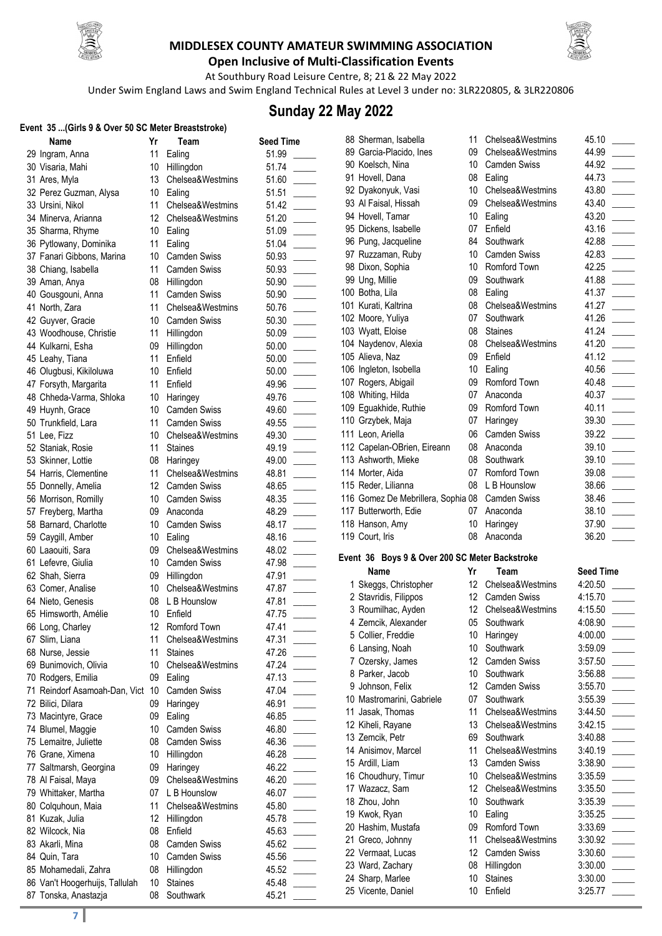



**Open Inclusive of Multi-Classification Events** At Southbury Road Leisure Centre, 8; 21& 22 May 2022

Under Swim England Laws and Swim England Technical Rules at Level 3 under no: 3LR220805, & 3LR220806

### **Sunday 22 May 2022**

#### **Event 35 ...(Girls 9 & Over 50 SC Meter Breaststroke)**

| $\frac{1}{2}$ (OIIIS 3 & OVEI JU JU INELEI DIEASLICKE) |    |                     | <b>Seed Time</b> |  |
|--------------------------------------------------------|----|---------------------|------------------|--|
| Name                                                   | Yr | Team                |                  |  |
| 29 Ingram, Anna                                        | 11 | Ealing              | 51.99            |  |
| 30 Visaria, Mahi                                       | 10 | Hillingdon          | 51.74            |  |
| 31 Ares, Myla                                          | 13 | Chelsea&Westmins    | 51.60            |  |
| 32 Perez Guzman, Alysa                                 | 10 | Ealing              | 51.51            |  |
| 33 Ursini, Nikol                                       | 11 | Chelsea&Westmins    | 51.42            |  |
| 34 Minerva, Arianna                                    | 12 | Chelsea&Westmins    | 51.20            |  |
| 35 Sharma, Rhyme                                       | 10 | Ealing              | 51.09            |  |
| 36 Pytlowany, Dominika                                 | 11 | Ealing              | 51.04            |  |
| 37 Fanari Gibbons, Marina                              | 10 | <b>Camden Swiss</b> | 50.93            |  |
| 38 Chiang, Isabella                                    | 11 | Camden Swiss        | 50.93            |  |
| 39 Aman, Anya                                          | 08 | Hillingdon          | 50.90            |  |
| 40 Gousgouni, Anna                                     | 11 | <b>Camden Swiss</b> | 50.90            |  |
| 41 North, Zara                                         | 11 | Chelsea&Westmins    | 50.76            |  |
| 42 Guyver, Gracie                                      | 10 | <b>Camden Swiss</b> | 50.30            |  |
| 43 Woodhouse, Christie                                 | 11 | Hillingdon          | 50.09            |  |
| 44 Kulkarni, Esha                                      | 09 | Hillingdon          | 50.00            |  |
| 45 Leahy, Tiana                                        | 11 | Enfield             | 50.00            |  |
| 46 Olugbusi, Kikiloluwa                                | 10 | Enfield             | 50.00            |  |
| 47 Forsyth, Margarita                                  | 11 | Enfield             | 49.96            |  |
| 48 Chheda-Varma, Shloka                                | 10 | Haringey            | 49.76            |  |
|                                                        | 10 | Camden Swiss        | 49.60            |  |
| 49 Huynh, Grace                                        | 11 |                     |                  |  |
| 50 Trunkfield, Lara                                    |    | <b>Camden Swiss</b> | 49.55            |  |
| 51 Lee, Fizz                                           | 10 | Chelsea&Westmins    | 49.30            |  |
| 52 Staniak, Rosie                                      | 11 | <b>Staines</b>      | 49.19            |  |
| 53 Skinner, Lottie                                     | 08 | Haringey            | 49.00            |  |
| 54 Harris, Clementine                                  | 11 | Chelsea&Westmins    | 48.81            |  |
| 55 Donnelly, Amelia                                    | 12 | <b>Camden Swiss</b> | 48.65            |  |
| 56 Morrison, Romilly                                   | 10 | <b>Camden Swiss</b> | 48.35            |  |
| 57 Freyberg, Martha                                    | 09 | Anaconda            | 48.29            |  |
| 58 Barnard, Charlotte                                  | 10 | <b>Camden Swiss</b> | 48.17            |  |
| 59 Caygill, Amber                                      | 10 | Ealing              | 48.16            |  |
| 60 Laaouiti, Sara                                      | 09 | Chelsea&Westmins    | 48.02            |  |
| 61 Lefevre, Giulia                                     | 10 | Camden Swiss        | 47.98            |  |
| 62 Shah, Sierra                                        |    | 09 Hillingdon       | 47.91            |  |
| 63 Comer, Analise                                      |    | 10 Chelsea&Westmins | 47.87            |  |
| 64 Nieto, Genesis                                      | 08 | L B Hounslow        | 47.81            |  |
| 65 Himsworth, Amélie                                   | 10 | Enfield             | 47.75            |  |
| 66 Long, Charley                                       | 12 | Romford Town        | 47.41            |  |
| 67 Slim, Liana                                         | 11 | Chelsea&Westmins    | 47.31            |  |
| 68 Nurse, Jessie                                       | 11 | <b>Staines</b>      | 47.26            |  |
| 69 Bunimovich, Olivia                                  | 10 | Chelsea&Westmins    | 47.24            |  |
| 70 Rodgers, Emilia                                     | 09 | Ealing              | 47.13            |  |
| 71 Reindorf Asamoah-Dan, Vict                          | 10 | Camden Swiss        | 47.04            |  |
| 72 Bilici, Dilara                                      | 09 | Haringey            | 46.91            |  |
| 73 Macintyre, Grace                                    | 09 | Ealing              | 46.85            |  |
| 74 Blumel, Maggie                                      | 10 | Camden Swiss        | 46.80            |  |
|                                                        |    |                     |                  |  |
| 75 Lemaitre, Juliette                                  | 08 | <b>Camden Swiss</b> | 46.36            |  |
| 76 Grane, Ximena                                       | 10 | Hillingdon          | 46.28            |  |
| 77 Saltmarsh, Georgina                                 | 09 | Haringey            | 46.22            |  |
| 78 Al Faisal, Maya                                     | 09 | Chelsea&Westmins    | 46.20            |  |
| 79 Whittaker, Martha                                   | 07 | L B Hounslow        | 46.07            |  |
| 80 Colquhoun, Maia                                     | 11 | Chelsea&Westmins    | 45.80            |  |
| 81 Kuzak, Julia                                        | 12 | Hillingdon          | 45.78            |  |
| 82 Wilcock, Nia                                        | 08 | Enfield             | 45.63            |  |
| 83 Akarli, Mina                                        | 08 | <b>Camden Swiss</b> | 45.62            |  |
| 84 Quin, Tara                                          | 10 | <b>Camden Swiss</b> | 45.56            |  |
| 85 Mohamedali, Zahra                                   | 08 | Hillingdon          | 45.52            |  |
| 86 Van't Hoogerhuijs, Tallulah                         | 10 | <b>Staines</b>      | 45.48            |  |
| 87 Tonska, Anastazja                                   | 08 | Southwark           | 45.21            |  |
|                                                        |    |                     |                  |  |

| Team                              | <b>Seed Time</b>        |
|-----------------------------------|-------------------------|
| Ealing                            | 51.99                   |
| Hillingdon                        | 51.74                   |
| Chelsea&Westmins                  | 51.60                   |
| Ealing                            | 51.51                   |
| Chelsea&Westmins                  | $\overline{a}$<br>51.42 |
| Chelsea&Westmins                  | 51.20                   |
| Ealing                            | 51.09<br>$\overline{a}$ |
| Ealing                            | 51.04                   |
| Camden Swiss                      | 50.93                   |
| <b>Camden Swiss</b>               | 50.93                   |
| Hillingdon                        | 50.90                   |
| <b>Camden Swiss</b>               | 50.90                   |
| Chelsea&Westmins                  | 50.76                   |
| <b>Camden Swiss</b>               | 50.30                   |
| Hillingdon                        | 50.09                   |
| Hillingdon                        | 50.00                   |
| Enfield                           | $\overline{a}$<br>50.00 |
| Enfield                           | 50.00                   |
| Enfield                           | 49.96<br>$\overline{a}$ |
| Haringey                          | 49.76                   |
| <b>Camden Swiss</b>               | 49.60<br>$\overline{a}$ |
| <b>Camden Swiss</b>               | 49.55                   |
| Chelsea&Westmins                  | 49.30                   |
| <b>Staines</b>                    | 49.19                   |
| Haringey                          | 49.00                   |
| Chelsea&Westmins                  | 48.81                   |
| Camden Swiss                      | 48.65                   |
| <b>Camden Swiss</b>               | $\overline{a}$<br>48.35 |
| Anaconda                          | 48.29                   |
| <b>Camden Swiss</b>               | L<br>48.17              |
| Ealing                            | 48.16                   |
| Chelsea&Westmins                  | 48.02                   |
| <b>Camden Swiss</b>               | 47.98                   |
| Hillingdon                        | 47.91                   |
| Chelsea&Westmins                  | 47.87                   |
| L B Hounslow                      | 47.81                   |
| Enfield                           | 47.75                   |
| Romford Town                      | 47.41                   |
| Chelsea&Westmins                  | 47.31                   |
| Staines                           | 47.26                   |
| Chelsea&Westmins                  | 47.24                   |
| Ealing                            | 47.13                   |
| <b>Camden Swiss</b>               | 47.04                   |
| Haringey                          | 46.91                   |
| Ealing                            | 46.85                   |
| Camden Swiss                      | 46.80                   |
| <b>Camden Swiss</b>               | 46.36                   |
| Hillingdon                        | 46.28                   |
| Haringey                          | 46.22                   |
| Chelsea&Westmins                  | 46.20                   |
| L B Hounslow                      | 46.07                   |
| Chelsea&Westmins                  | 45.80                   |
| Hillingdon                        | 45.78                   |
| Enfield                           | 45.63                   |
| <b>Camden Swiss</b>               | 45.62                   |
| <b>Camden Swiss</b><br>Hillingdon | 45.56<br>45.52          |
| <b>Staines</b>                    | 45.48                   |
| Southwark                         | 45.21                   |
|                                   |                         |

| Э                        | oo<br>printing<br>89 Garcia-l       |
|--------------------------|-------------------------------------|
|                          | Koelsch<br>90                       |
|                          | 91 Hovell, I                        |
|                          | 92 Dyakon                           |
| $\overline{\phantom{a}}$ | 93 Al Faisa                         |
| $\overline{a}$           | 94 Hovell,<br>95 Dickens            |
| $\overline{\phantom{a}}$ | 96<br>ال Pung, J                    |
|                          | 97<br>Ruzzam                        |
|                          | 98<br>Dixon, S                      |
|                          | 99 Ung, Mi                          |
|                          | Botha, L<br>100<br>Kurati, ł<br>101 |
|                          | Moore,<br>102                       |
|                          | Wyatt, E<br>103                     |
| $\mathcal{L}$            | 104 Nayden                          |
| $\overline{\phantom{a}}$ | 105 Alieva, I                       |
|                          | 106 Ingleton                        |
|                          | 107<br>Rogers,                      |
|                          | Whiting,<br>108<br>109 Eguakhi      |
|                          | 110 Grzybeł                         |
|                          | 111<br>Leon, A                      |
|                          | 112<br>Capelar                      |
| $\sim$                   | 113<br>Ashworl                      |
|                          | 114 Morter,                         |
| $\sim$                   | Reder, I<br>115                     |
| $\mathbb{R}^n$           | 116<br>Gomez<br>117 Butterw         |
|                          |                                     |
|                          |                                     |
|                          | 118 Hanson                          |
|                          | 119 Court, Ir                       |
|                          | в<br>Event 36                       |
|                          | Name                                |
|                          | Skeggs,<br>1<br>2 Stavridis         |
|                          | 3 Roumilh                           |
|                          | 4<br>Zemcik,                        |
|                          | 5 Collier,                          |
| $\overline{a}$           | 6<br>Lansing                        |
|                          | 7<br>Ozersky<br>8                   |
|                          | Parker,<br>9<br>Johnsor             |
|                          | Mastron<br>10                       |
|                          | 11<br>Jasak, 1                      |
|                          | Kiheli, F<br>12                     |
|                          | 13<br>Zemcik,                       |
|                          | 14<br>Anisimo                       |
|                          | Ardill, Li<br>15<br>16              |
|                          | Choudh<br>17 Wazacz                 |
|                          | 18<br>Zhou, Jo                      |
|                          | 19 Kwok, R                          |
|                          | 20<br>Hashim                        |
|                          | 21<br>Greco,                        |
|                          | 22<br>Vermaa<br>23                  |
|                          | Ward, Z<br>24<br>Sharp, I           |
|                          | 25<br>Vicente,                      |

| 88 Sherman, Isabella                            | 11              | Chelsea&Westmins    | 45.10 |  |
|-------------------------------------------------|-----------------|---------------------|-------|--|
| 89 Garcia-Placido, Ines                         | 09              | Chelsea&Westmins    | 44.99 |  |
| 90 Koelsch, Nina                                | 10              | <b>Camden Swiss</b> | 44.92 |  |
| 91 Hovell, Dana                                 | 08              | Ealing              | 44.73 |  |
| 92 Dyakonyuk, Vasi                              | 10 <sup>1</sup> | Chelsea&Westmins    | 43.80 |  |
| 93 Al Faisal, Hissah                            | 09              | Chelsea&Westmins    | 43.40 |  |
| 94 Hovell, Tamar                                | 10              | Ealing              | 43.20 |  |
| 95 Dickens, Isabelle                            | 07              | Enfield             | 43.16 |  |
| 96 Pung, Jacqueline                             | 84              | Southwark           | 42.88 |  |
| 97 Ruzzaman, Ruby                               | 10              | Camden Swiss        | 42.83 |  |
| 98 Dixon, Sophia                                | 10              | Romford Town        | 42.25 |  |
| 99 Ung, Millie                                  | 09              | Southwark           | 41.88 |  |
| 100 Botha, Lila                                 | 08              | Ealing              | 41.37 |  |
| 101 Kurati, Kaltrina                            | 08              | Chelsea&Westmins    | 41.27 |  |
| 102 Moore, Yuliya                               | 07              | Southwark           | 41.26 |  |
| 103 Wyatt, Eloise                               | 08              | <b>Staines</b>      | 41.24 |  |
| 104 Naydenov, Alexia                            | 08              | Chelsea&Westmins    | 41.20 |  |
| 105 Alieva, Naz                                 | 09              | Enfield             | 41.12 |  |
| 106 Ingleton, Isobella                          | 10              | Ealing              | 40.56 |  |
| 107 Rogers, Abigail                             | 09              | Romford Town        | 40.48 |  |
| 108 Whiting, Hilda                              | 07              | Anaconda            | 40.37 |  |
| 109 Eguakhide, Ruthie                           | 09              | Romford Town        | 40.11 |  |
| 110 Grzybek, Maja                               | 07              | Haringey            | 39.30 |  |
| 111 Leon, Ariella                               | 06              | <b>Camden Swiss</b> | 39.22 |  |
| 112 Capelan-OBrien, Eireann                     | 08              | Anaconda            | 39.10 |  |
| 113 Ashworth, Mieke                             | 08              | Southwark           | 39.10 |  |
| 114 Morter, Aida                                | 07              | Romford Town        | 39.08 |  |
| 115 Reder, Lilianna                             | 08              | L B Hounslow        | 38.66 |  |
| 116 Gomez De Mebrillera, Sophia 08 Camden Swiss |                 |                     | 38.46 |  |
| 117 Butterworth, Edie                           | 07              | Anaconda            | 38.10 |  |
| 118 Hanson, Amy                                 | 10              | Haringey            | 37.90 |  |
| 119 Court. Iris                                 | 08              | Anaconda            | 36.20 |  |

#### **Event 36 Boys 9 & Over 200 SC Meter Backstroke**

|    | Name                      | Yr | Team                | <b>Seed Time</b> |
|----|---------------------------|----|---------------------|------------------|
| 1. | Skeggs, Christopher       | 12 | Chelsea&Westmins    | 4:20.50          |
|    | 2 Stavridis, Filippos     | 12 | <b>Camden Swiss</b> | 4:15.70          |
|    | 3 Roumilhac, Ayden        | 12 | Chelsea&Westmins    | 4:15.50          |
|    | 4 Zemcik, Alexander       | 05 | Southwark           | 4:08.90          |
|    | 5 Collier, Freddie        | 10 | Haringey            | 4:00.00          |
|    | 6 Lansing, Noah           | 10 | Southwark           | 3:59.09          |
|    | 7 Ozersky, James          | 12 | <b>Camden Swiss</b> | 3:57.50          |
|    | 8 Parker, Jacob           | 10 | Southwark           | 3:56.88          |
|    | 9 Johnson, Felix          | 12 | <b>Camden Swiss</b> | 3:55.70          |
|    | 10 Mastromarini, Gabriele | 07 | Southwark           | 3:55.39          |
|    | 11 Jasak, Thomas          | 11 | Chelsea&Westmins    | 3:44.50          |
|    | 12 Kiheli, Rayane         | 13 | Chelsea&Westmins    | 3:42.15          |
|    | 13 Zemcik, Petr           | 69 | Southwark           | 3:40.88          |
|    | 14 Anisimov, Marcel       | 11 | Chelsea&Westmins    | 3:40.19          |
|    | 15 Ardill, Liam           | 13 | Camden Swiss        | 3:38.90          |
|    | 16 Choudhury, Timur       | 10 | Chelsea&Westmins    | 3:35.59          |
|    | 17 Wazacz, Sam            | 12 | Chelsea&Westmins    | 3:35.50          |
|    | 18 Zhou, John             | 10 | Southwark           | 3:35.39          |
|    | 19 Kwok, Ryan             | 10 | Ealing              | 3:35.25          |
|    | 20 Hashim, Mustafa        | 09 | Romford Town        | 3:33.69          |
|    | 21 Greco, Johnny          | 11 | Chelsea&Westmins    | 3:30.92          |
|    | 22 Vermaat, Lucas         | 12 | Camden Swiss        | 3:30.60          |
|    | 23 Ward, Zachary          | 08 | Hillingdon          | 3:30.00          |
|    | 24 Sharp, Marlee          | 10 | <b>Staines</b>      | 3:30.00          |
|    | 25 Vicente, Daniel        | 10 | Enfield             | 3:25.77          |
|    |                           |    |                     |                  |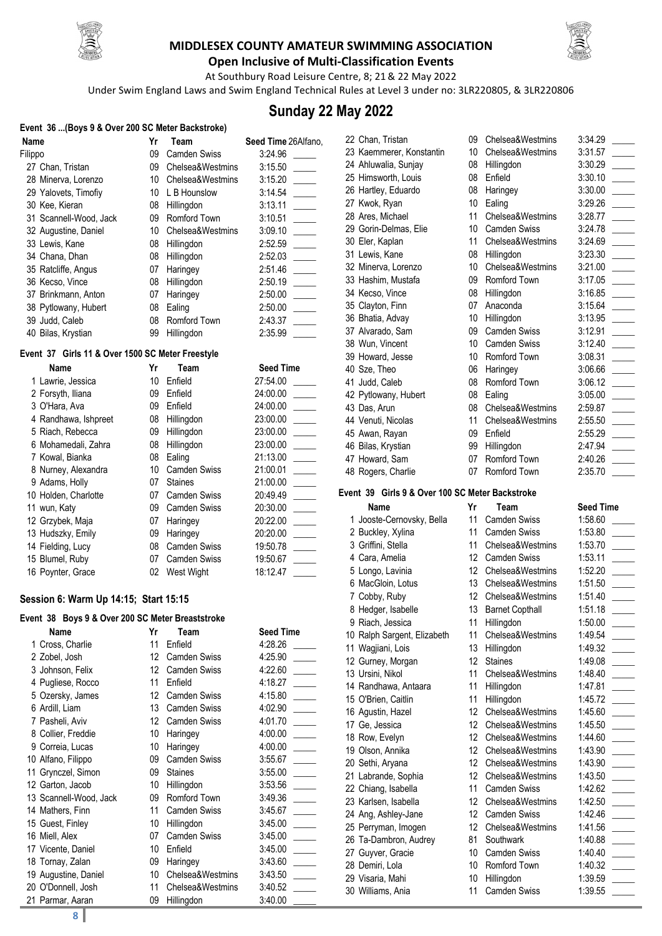



**Open Inclusive of Multi-Classification Events** At Southbury Road Leisure Centre, 8; 21& 22 May 2022

Under Swim England Laws and Swim England Technical Rules at Level 3 under no: 3LR220805, & 3LR220806

## **Sunday 22 May 2022**

| Event 36 (Boys 9 & Over 200 SC Meter Backstroke) |    |                     |                                          |
|--------------------------------------------------|----|---------------------|------------------------------------------|
| Name                                             | Yr | Team                | Seed Time 26Alfano,                      |
| Filippo                                          | 09 | Camden Swiss        | 3:24.96                                  |
| 27 Chan, Tristan                                 | 09 | Chelsea&Westmins    | 3:15.50                                  |
| 28 Minerva, Lorenzo                              | 10 | Chelsea&Westmins    | 3:15.20                                  |
| 29 Yalovets, Timofiy                             | 10 | L B Hounslow        | 3:14.54                                  |
| 30 Kee, Kieran                                   | 08 | Hillingdon          | 3:13.11                                  |
| 31 Scannell-Wood, Jack                           | 09 | Romford Town        | 3:10.51                                  |
| 32 Augustine, Daniel                             | 10 | Chelsea&Westmins    | 3:09.10                                  |
| 33 Lewis, Kane                                   | 08 | Hillingdon          | 2:52.59                                  |
| 34 Chana, Dhan                                   | 08 | Hillingdon          | 2:52.03<br>$\mathcal{L}^{\mathcal{L}}$ . |
| 35 Ratcliffe, Angus                              | 07 | Haringey            | 2:51.46                                  |
| 36 Kecso, Vince                                  | 08 | Hillingdon          | 2:50.19                                  |
| 37 Brinkmann, Anton                              | 07 | Haringey            | 2:50.00                                  |
| 38 Pytlowany, Hubert                             | 08 | Ealing              | 2:50.00                                  |
| 39 Judd, Caleb                                   | 08 | Romford Town        | 2:43.37                                  |
| 40 Bilas, Krystian                               | 99 | Hillingdon          | 2:35.99                                  |
| Event 37 Girls 11 & Over 1500 SC Meter Freestyle |    |                     |                                          |
| Name                                             | Yr | Team                | <b>Seed Time</b>                         |
| 1 Lawrie, Jessica                                | 10 | Enfield             | 27:54.00                                 |
| 2 Forsyth, Iliana                                | 09 | Enfield             | 24:00.00                                 |
| 3 O'Hara, Ava                                    | 09 | Enfield             | 24:00.00                                 |
| 4 Randhawa, Ishpreet                             | 08 | Hillingdon          | 23:00.00                                 |
| 5 Riach, Rebecca                                 | 09 | Hillingdon          | 23:00.00                                 |
| 6 Mohamedali, Zahra                              | 08 | Hillingdon          | 23:00.00                                 |
| 7 Kowal, Bianka                                  | 08 | Ealing              | 21:13.00                                 |
| 8 Nurney, Alexandra                              | 10 | <b>Camden Swiss</b> | 21:00.01                                 |

|                      |    | ,,,,,,,,,,,,,,,     |
|----------------------|----|---------------------|
| 7 Kowal, Bianka      | 08 | Ealing              |
| 8 Nurney, Alexandra  | 10 | <b>Camden Swiss</b> |
| 9 Adams, Holly       | 07 | <b>Staines</b>      |
| 10 Holden, Charlotte |    | 07 Camden Swiss     |
| 11 wun, Katy         |    | 09 Camden Swiss     |
| 12 Grzybek, Maja     |    | 07 Haringey         |
| 13 Hudszky, Emily    |    | 09 Haringey         |
| 14 Fielding, Lucy    |    | 08 Camden Swiss     |
| 15 Blumel, Ruby      |    | Camden Swiss        |

#### **Session 6: Warm Up 14:15; Start 15:15**

#### **Event 38 Boys 9 & Over 200 SC Meter Breaststroke**

16 Poynter, Grace 02 West Wight

| Name                   | Yr | Team                | <b>Seed Time</b> |
|------------------------|----|---------------------|------------------|
| 1 Cross, Charlie       | 11 | Enfield             | 4:28.26          |
| 2 Zobel, Josh          | 12 | <b>Camden Swiss</b> | 4:25.90          |
| 3 Johnson, Felix       | 12 | <b>Camden Swiss</b> | 4:22.60          |
| 4 Pugliese, Rocco      | 11 | Enfield             | 4:18.27          |
| 5 Ozersky, James       | 12 | <b>Camden Swiss</b> | 4:15.80          |
| 6 Ardill, Liam         | 13 | <b>Camden Swiss</b> | 4:02.90          |
| 7 Pasheli, Aviv        | 12 | <b>Camden Swiss</b> | 4:01.70          |
| 8 Collier, Freddie     | 10 | Haringey            | 4:00.00          |
| 9 Correia, Lucas       | 10 | Haringey            | 4:00.00          |
| 10 Alfano, Filippo     | 09 | Camden Swiss        | 3:55.67          |
| 11 Grynczel, Simon     | 09 | <b>Staines</b>      | 3:55.00          |
| 12 Garton, Jacob       | 10 | Hillingdon          | 3:53.56          |
| 13 Scannell-Wood, Jack | 09 | Romford Town        | 3:49.36          |
| 14 Mathers, Finn       | 11 | Camden Swiss        | 3:45.67          |
| 15 Guest, Finley       | 10 | Hillingdon          | 3:45.00          |
| 16 Miell, Alex         | 07 | <b>Camden Swiss</b> | 3:45.00          |
| 17 Vicente, Daniel     | 10 | Enfield             | 3:45.00          |
| 18 Tornay, Zalan       | 09 | Haringey            | 3:43.60          |
| 19 Augustine, Daniel   | 10 | Chelsea&Westmins    | 3:43.50          |
| 20 O'Donnell, Josh     | 11 | Chelsea&Westmins    | 3:40.52          |
| 21 Parmar, Aaran       | 09 | Hillingdon          | 3:40.00          |

| 23:00.00             |  |
|----------------------|--|
| 23:00.00<br>21:13.00 |  |
| 21:00.01             |  |
| 21:00.00<br>20:49.49 |  |
| 20:30.00             |  |
| 20:22.00<br>20:20.00 |  |
| 19:50.78             |  |
| 19:50.67<br>18:12.47 |  |
|                      |  |
|                      |  |
| <b>Seed Time</b>     |  |
| 4:28.26              |  |
| 4:25.90              |  |
| 4:22.60              |  |
|                      |  |
|                      |  |
| 4:18.27              |  |
| 4:15.80              |  |
| 4:02.90              |  |
| 4:01.70              |  |
| 4:00.00              |  |
| 4:00.00              |  |
| 3:55.67              |  |
| 3:55.00              |  |
| 3:53.56              |  |
| 3:49.36              |  |
| 3:45.67              |  |
| 3:45.00              |  |
| 3:45.00              |  |
| 3:45.00              |  |
| 3:43.60              |  |
| 3:43.50              |  |

|   | 22 Chan, Tristan         |
|---|--------------------------|
|   | 23 Kaemmerer, Konstanti  |
|   | 24 Ahluwalia, Sunjay     |
|   | 25 Himsworth, Louis      |
|   | 26 Hartley, Eduardo      |
|   | 27 Kwok, Ryan            |
|   | 28 Ares, Michael         |
|   | 29 Gorin-Delmas, Elie    |
|   | 30 Eler, Kaplan          |
|   | 31 Lewis, Kane           |
|   | 32 Minerva, Lorenzo      |
|   | 33 Hashim, Mustafa       |
|   | 34 Kecso, Vince          |
|   | 35 Clayton, Finn         |
|   | 36 Bhatia, Advay         |
|   | 37 Alvarado, Sam         |
|   | 38 Wun, Vincent          |
|   | 39 Howard, Jesse         |
|   | 40 Sze, Theo             |
|   | 41 Judd, Caleb           |
|   | 42 Pytlowany, Hubert     |
|   | 43 Das, Arun             |
|   | 44 Venuti, Nicolas       |
|   | 45 Awan, Rayan           |
|   | 46 Bilas, Krystian       |
|   | 47 Howard, Sam           |
|   | 48 Rogers, Charlie       |
|   | vent 39 Girls 9 & Over 1 |
|   | Name                     |
|   | 1 Jooste-Cernovsky, Bel  |
|   | 2 Buckley, Xylina        |
|   | 3 Griffini, Stella       |
|   | 4 Cara, Amelia           |
|   | 5 Longo, Lavinia         |
|   | 6 MacGloin, Lotus        |
| ⇁ |                          |

| 22 Chan, Tristan         | 09              | Chelsea&Westmins    | 3:34.29 |  |
|--------------------------|-----------------|---------------------|---------|--|
| 23 Kaemmerer, Konstantin | 10              | Chelsea&Westmins    | 3:31.57 |  |
| 24 Ahluwalia, Sunjay     | 08              | Hillingdon          | 3:30.29 |  |
| 25 Himsworth, Louis      | 08              | Enfield             | 3:30.10 |  |
| 26 Hartley, Eduardo      | 08              | Haringey            | 3:30.00 |  |
| 27 Kwok, Ryan            | 10              | Ealing              | 3:29.26 |  |
| 28 Ares, Michael         | 11              | Chelsea&Westmins    | 3:28.77 |  |
| 29 Gorin-Delmas, Elie    | 10              | <b>Camden Swiss</b> | 3:24.78 |  |
| 30 Eler, Kaplan          | 11              | Chelsea&Westmins    | 3:24.69 |  |
| 31 Lewis, Kane           | 08              | Hillingdon          | 3:23.30 |  |
| 32 Minerva, Lorenzo      | 10              | Chelsea&Westmins    | 3:21.00 |  |
| 33 Hashim, Mustafa       | 09              | Romford Town        | 3:17.05 |  |
| 34 Kecso, Vince          | 08              | Hillingdon          | 3:16.85 |  |
| 35 Clayton, Finn         | 07              | Anaconda            | 3:15.64 |  |
| 36 Bhatia, Advay         | 10              | Hillingdon          | 3:13.95 |  |
| 37 Alvarado, Sam         | 09              | <b>Camden Swiss</b> | 3:12.91 |  |
| 38 Wun, Vincent          | 10              | Camden Swiss        | 3:12.40 |  |
| 39 Howard, Jesse         | 10 <sup>°</sup> | Romford Town        | 3:08.31 |  |
| 40 Sze, Theo             | 06              | Haringey            | 3:06.66 |  |
| 41 Judd, Caleb           | 08              | Romford Town        | 3:06.12 |  |
| 42 Pytlowany, Hubert     | 08              | Ealing              | 3:05.00 |  |
| 43 Das, Arun             | 08              | Chelsea&Westmins    | 2:59.87 |  |
| 44 Venuti, Nicolas       | 11              | Chelsea&Westmins    | 2:55.50 |  |
| 45 Awan, Rayan           | 09              | Enfield             | 2:55.29 |  |
| 46 Bilas, Krystian       | 99              | Hillingdon          | 2:47.94 |  |
| 47 Howard, Sam           | 07              | Romford Town        | 2:40.26 |  |
| 48 Rogers, Charlie       | 07              | Romford Town        | 2:35.70 |  |

#### **Event 39 Girls 9 & Over 100 SC Meter Backstroke**

|   | Name                        | Yr              | Team                   | <b>Seed Time</b> |
|---|-----------------------------|-----------------|------------------------|------------------|
|   | 1 Jooste-Cernovsky, Bella   | 11              | Camden Swiss           | 1:58.60          |
|   | 2 Buckley, Xylina           | 11              | <b>Camden Swiss</b>    | 1:53.80          |
|   | 3 Griffini, Stella          | 11              | Chelsea&Westmins       | 1:53.70          |
|   | 4 Cara, Amelia              | 12              | Camden Swiss           | 1:53.11          |
|   | 5 Longo, Lavinia            | 12              | Chelsea&Westmins       | 1:52.20          |
|   | 6 MacGloin, Lotus           | 13              | Chelsea&Westmins       | 1:51.50          |
| 7 | Cobby, Ruby                 | 12              | Chelsea&Westmins       | 1:51.40          |
|   | 8 Hedger, Isabelle          | 13              | <b>Barnet Copthall</b> | 1:51.18          |
|   | 9 Riach, Jessica            | 11              | Hillingdon             | 1:50.00          |
|   | 10 Ralph Sargent, Elizabeth | 11              | Chelsea&Westmins       | 1:49.54          |
|   | 11 Wagjiani, Lois           | 13              | Hillingdon             | 1:49.32          |
|   | 12 Gurney, Morgan           | 12              | <b>Staines</b>         | 1:49.08          |
|   | 13 Ursini, Nikol            | 11              | Chelsea&Westmins       | 1:48.40          |
|   | 14 Randhawa, Antaara        | 11              | Hillingdon             | 1:47.81          |
|   | 15 O'Brien, Caitlin         | 11              | Hillingdon             | 1:45.72          |
|   | 16 Agustin, Hazel           | 12              | Chelsea&Westmins       | 1:45.60          |
|   | 17 Ge, Jessica              | 12              | Chelsea&Westmins       | 1:45.50          |
|   | 18 Row, Evelyn              | 12              | Chelsea&Westmins       | 1:44.60          |
|   | 19 Olson, Annika            | 12              | Chelsea&Westmins       | 1:43.90          |
|   | 20 Sethi, Aryana            | 12              | Chelsea&Westmins       | 1:43.90          |
|   | 21 Labrande, Sophia         | 12              | Chelsea&Westmins       | 1:43.50          |
|   | 22 Chiang, Isabella         | 11              | Camden Swiss           | 1:42.62          |
|   | 23 Karlsen, Isabella        | 12 <sup>°</sup> | Chelsea&Westmins       | 1:42.50          |
|   | 24 Ang, Ashley-Jane         | 12              | <b>Camden Swiss</b>    | 1:42.46          |
|   | 25 Perryman, Imogen         | 12 <sup>°</sup> | Chelsea&Westmins       | 1:41.56          |
|   | 26 Ta-Dambron, Audrey       | 81              | Southwark              | 1:40.88          |
|   | 27 Guyver, Gracie           | 10              | <b>Camden Swiss</b>    | 1:40.40          |
|   | 28 Demiri, Lola             | 10              | Romford Town           | 1:40.32          |
|   | 29 Visaria, Mahi            | 10              | Hillingdon             | 1:39.59          |
|   | 30 Williams, Ania           | 11              | Camden Swiss           | 1:39.55          |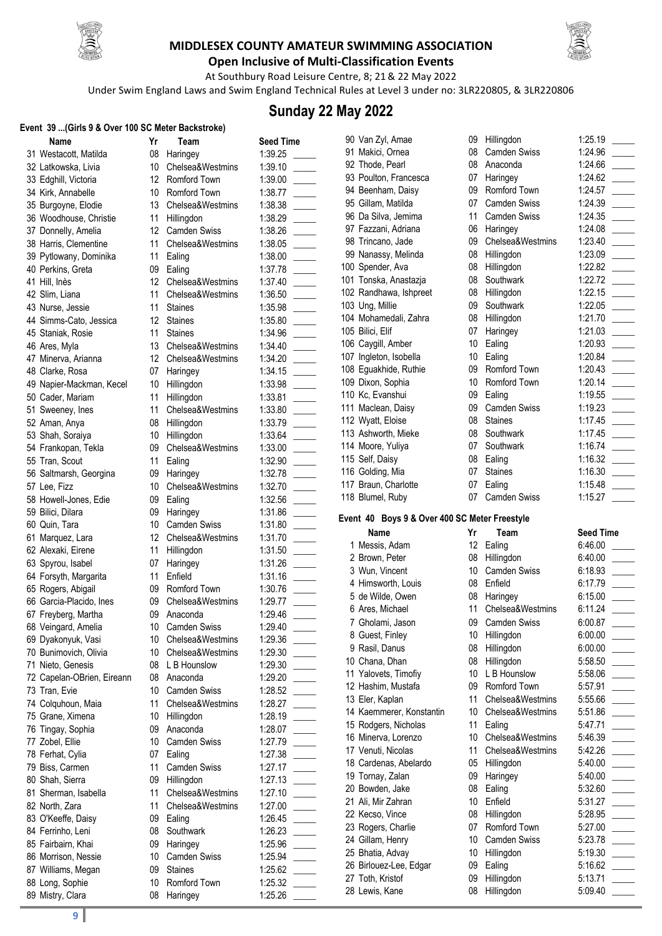



**Open Inclusive of Multi-Classification Events** At Southbury Road Leisure Centre, 8; 21& 22 May 2022

Under Swim England Laws and Swim England Technical Rules at Level 3 under no: 3LR220805, & 3LR220806

### **Sunday 22 May 2022**

## **Event 39 ...(Girls 9 & Over 100 SC Meter Backstroke)**

| :vent  39 (Girls 9 & Over 100 SC Meter Backstroke) |                  |                     |                  |
|----------------------------------------------------|------------------|---------------------|------------------|
| Name                                               | Yr               | Team                | <b>Seed Time</b> |
| 31 Westacott, Matilda                              | 08               | Haringey            | 1:39.25          |
| 32 Latkowska, Livia                                | 10               | Chelsea&Westmins    | 1:39.10          |
| 33 Edghill, Victoria                               | 12 <sup>°</sup>  | Romford Town        | 1:39.00          |
| 34 Kirk, Annabelle                                 | 10               | Romford Town        | 1:38.77          |
| 35 Burgoyne, Elodie                                | 13               | Chelsea&Westmins    | 1:38.38          |
| 36 Woodhouse, Christie                             | 11               | Hillingdon          | 1:38.29          |
| 37 Donnelly, Amelia                                | 12 <sup>12</sup> | Camden Swiss        | 1:38.26          |
| 38 Harris, Clementine                              | 11               | Chelsea&Westmins    | 1:38.05          |
| 39 Pytlowany, Dominika                             | 11               | Ealing              | 1:38.00          |
| 40 Perkins, Greta                                  | 09               | Ealing              | 1:37.78          |
| 41 Hill, Inès                                      | 12               | Chelsea&Westmins    | 1:37.40          |
| 42 Slim, Liana                                     | 11               | Chelsea&Westmins    | 1:36.50          |
| 43 Nurse, Jessie                                   | 11               | <b>Staines</b>      | 1:35.98          |
| 44 Simms-Cato, Jessica                             | 12               | <b>Staines</b>      | 1:35.80          |
| 45 Staniak, Rosie                                  | 11               | <b>Staines</b>      | 1:34.96          |
| 46 Ares, Myla                                      | 13               | Chelsea&Westmins    | 1:34.40          |
|                                                    | $12-12$          |                     |                  |
| 47 Minerva, Arianna                                |                  | Chelsea&Westmins    | 1:34.20          |
| 48 Clarke, Rosa                                    | 07               | Haringey            | 1:34.15          |
| 49 Napier-Mackman, Kecel                           | 10               | Hillingdon          | 1:33.98          |
| 50 Cader, Mariam                                   | 11               | Hillingdon          | 1:33.81          |
| 51 Sweeney, Ines                                   | 11               | Chelsea&Westmins    | 1:33.80          |
| 52 Aman, Anya                                      | 08               | Hillingdon          | 1:33.79          |
| 53 Shah, Soraiya                                   | 10               | Hillingdon          | 1:33.64          |
| 54 Frankopan, Tekla                                | 09               | Chelsea&Westmins    | 1:33.00          |
| 55 Tran, Scout                                     | 11               | Ealing              | 1:32.90          |
| 56 Saltmarsh, Georgina                             | 09               | Haringey            | 1:32.78          |
| 57 Lee, Fizz                                       | 10               | Chelsea&Westmins    | 1:32.70          |
| 58 Howell-Jones, Edie                              | 09               | Ealing              | 1:32.56          |
| 59 Bilici, Dilara                                  | 09               | Haringey            | 1:31.86          |
| 60 Quin, Tara                                      | 10               | <b>Camden Swiss</b> | 1:31.80          |
| 61 Marquez, Lara                                   | 12 <sup>°</sup>  | Chelsea&Westmins    | 1:31.70          |
| 62 Alexaki, Eirene                                 | 11               | Hillingdon          | 1:31.50          |
| 63 Spyrou, Isabel                                  | 07               | Haringey            | 1:31.26          |
| 64 Forsyth, Margarita                              | 11               | Enfield             | 1:31.16          |
| 65 Rogers, Abigail                                 | 09               | Romford Town        | 1:30.76          |
| 66 Garcia-Placido, Ines                            | 09               | Chelsea&Westmins    | 1:29.77          |
| 67 Freyberg, Martha                                | 09               | Anaconda            | 1:29.46          |
| 68 Veingard, Amelia                                |                  | 10 Camden Swiss     | 1:29.40          |
|                                                    | 10               | Chelsea&Westmins    | 1:29.36          |
| 69 Dyakonyuk, Vasi                                 | 10               | Chelsea&Westmins    | 1:29.30          |
| 70 Bunimovich, Olivia                              |                  |                     |                  |
| 71 Nieto, Genesis                                  | 08               | L B Hounslow        | 1:29.30          |
| 72 Capelan-OBrien, Eireann                         | 08               | Anaconda            | 1:29.20          |
| 73 Tran, Evie                                      | 10               | <b>Camden Swiss</b> | 1:28.52          |
| 74 Colquhoun, Maia                                 | 11               | Chelsea&Westmins    | 1:28.27          |
| 75 Grane, Ximena                                   | 10               | Hillingdon          | 1:28.19          |
| 76 Tingay, Sophia                                  | 09               | Anaconda            | 1:28.07          |
| 77 Zobel, Ellie                                    | 10               | <b>Camden Swiss</b> | 1:27.79          |
| 78 Ferhat, Cylia                                   | 07               | Ealing              | 1:27.38          |
| 79 Biss, Carmen                                    | 11               | Camden Swiss        | 1:27.17          |
| 80 Shah, Sierra                                    | 09               | Hillingdon          | 1:27.13          |
| 81 Sherman, Isabella                               | 11               | Chelsea&Westmins    | 1:27.10          |
| 82 North, Zara                                     | 11               | Chelsea&Westmins    | 1:27.00          |
| 83 O'Keeffe, Daisy                                 | 09               | Ealing              | 1:26.45          |
| 84 Ferrinho, Leni                                  | 08               | Southwark           | 1:26.23          |
| 85 Fairbairn, Khai                                 | 09               | Haringey            | 1:25.96          |
| 86 Morrison, Nessie                                | 10               | <b>Camden Swiss</b> | 1:25.94          |
| 87 Williams, Megan                                 | 09               | <b>Staines</b>      | 1:25.62          |
| 88 Long, Sophie                                    | 10               | Romford Town        | 1:25.32          |
| 89 Mistry, Clara                                   | 08               | Haringey            | 1:25.26          |
|                                                    |                  |                     |                  |

| Team              | Seed Time                                                                                                                                                                                                                                                                                                                                                                                                                   |
|-------------------|-----------------------------------------------------------------------------------------------------------------------------------------------------------------------------------------------------------------------------------------------------------------------------------------------------------------------------------------------------------------------------------------------------------------------------|
| aringey           | 1:39.25                                                                                                                                                                                                                                                                                                                                                                                                                     |
| nelsea&Westmins   | 1:39.10                                                                                                                                                                                                                                                                                                                                                                                                                     |
| omford Town       | 1:39.00                                                                                                                                                                                                                                                                                                                                                                                                                     |
| omford Town       | 1:38.77                                                                                                                                                                                                                                                                                                                                                                                                                     |
| nelsea&Westmins   | 1:38.38                                                                                                                                                                                                                                                                                                                                                                                                                     |
| llingdon          | 1:38.29                                                                                                                                                                                                                                                                                                                                                                                                                     |
| amden Swiss       | 1:38.26                                                                                                                                                                                                                                                                                                                                                                                                                     |
| nelsea&Westmins   | 1:38.05                                                                                                                                                                                                                                                                                                                                                                                                                     |
| aling             | 1:38.00                                                                                                                                                                                                                                                                                                                                                                                                                     |
| aling             | 1:37.78                                                                                                                                                                                                                                                                                                                                                                                                                     |
| nelsea&Westmins   | 1:37.40                                                                                                                                                                                                                                                                                                                                                                                                                     |
| nelsea&Westmins   | 1:36.50                                                                                                                                                                                                                                                                                                                                                                                                                     |
| aines             | 1:35.98                                                                                                                                                                                                                                                                                                                                                                                                                     |
| aines             | 1:35.80                                                                                                                                                                                                                                                                                                                                                                                                                     |
| aines             | 1:34.96                                                                                                                                                                                                                                                                                                                                                                                                                     |
| nelsea&Westmins   | 1:34.40                                                                                                                                                                                                                                                                                                                                                                                                                     |
| nelsea&Westmins   | 1:34.20                                                                                                                                                                                                                                                                                                                                                                                                                     |
| aringey           | 1:34.15                                                                                                                                                                                                                                                                                                                                                                                                                     |
|                   | 1:33.98                                                                                                                                                                                                                                                                                                                                                                                                                     |
| llingdon          |                                                                                                                                                                                                                                                                                                                                                                                                                             |
| llingdon          | 1:33.81                                                                                                                                                                                                                                                                                                                                                                                                                     |
| nelsea&Westmins   | 1:33.80                                                                                                                                                                                                                                                                                                                                                                                                                     |
| llingdon          | 1:33.79                                                                                                                                                                                                                                                                                                                                                                                                                     |
| llingdon          | 1:33.64                                                                                                                                                                                                                                                                                                                                                                                                                     |
| nelsea&Westmins   | 1:33.00                                                                                                                                                                                                                                                                                                                                                                                                                     |
| aling             | 1:32.90                                                                                                                                                                                                                                                                                                                                                                                                                     |
| aringey           | 1:32.78                                                                                                                                                                                                                                                                                                                                                                                                                     |
| nelsea&Westmins   | 1:32.70                                                                                                                                                                                                                                                                                                                                                                                                                     |
| aling             | 1:32.56                                                                                                                                                                                                                                                                                                                                                                                                                     |
| aringey           | 1:31.86                                                                                                                                                                                                                                                                                                                                                                                                                     |
| amden Swiss       | 1:31.80                                                                                                                                                                                                                                                                                                                                                                                                                     |
| nelsea&Westmins   | 1:31.70                                                                                                                                                                                                                                                                                                                                                                                                                     |
| llingdon          | 1:31.50                                                                                                                                                                                                                                                                                                                                                                                                                     |
| aringey           | 1:31.26                                                                                                                                                                                                                                                                                                                                                                                                                     |
| dfield            | 1:31.16                                                                                                                                                                                                                                                                                                                                                                                                                     |
| omford Town       | 1:30.76                                                                                                                                                                                                                                                                                                                                                                                                                     |
| nelsea&Westmins   | 1:29.77                                                                                                                                                                                                                                                                                                                                                                                                                     |
| aconda            | 1:29.46                                                                                                                                                                                                                                                                                                                                                                                                                     |
| amden Swiss       | 1:29.40                                                                                                                                                                                                                                                                                                                                                                                                                     |
| nelsea&Westmins   | 1:29.36                                                                                                                                                                                                                                                                                                                                                                                                                     |
| elsea&Westmins    | 1:29.30<br>$\sim$ 10 $\mu$                                                                                                                                                                                                                                                                                                                                                                                                  |
| <b>B</b> Hounslow | 1:29.30                                                                                                                                                                                                                                                                                                                                                                                                                     |
| aconda            | 1:29.20                                                                                                                                                                                                                                                                                                                                                                                                                     |
| amden Swiss       | 1:28.52                                                                                                                                                                                                                                                                                                                                                                                                                     |
| nelsea&Westmins   | 1:28.27                                                                                                                                                                                                                                                                                                                                                                                                                     |
| llingdon          | 1:28.19                                                                                                                                                                                                                                                                                                                                                                                                                     |
| aconda            | 1:28.07<br>$\mathcal{L}$                                                                                                                                                                                                                                                                                                                                                                                                    |
| amden Swiss       | 1:27.79<br>and a                                                                                                                                                                                                                                                                                                                                                                                                            |
| aling             | 1:27.38                                                                                                                                                                                                                                                                                                                                                                                                                     |
| amden Swiss       | 1:27.17                                                                                                                                                                                                                                                                                                                                                                                                                     |
| llingdon          | 1:27.13                                                                                                                                                                                                                                                                                                                                                                                                                     |
| nelsea&Westmins   | $\label{eq:2.1} \frac{1}{2} \int_{\mathbb{R}^3} \frac{1}{\sqrt{2}} \, \frac{1}{\sqrt{2}} \, \frac{1}{\sqrt{2}} \, \frac{1}{\sqrt{2}} \, \frac{1}{\sqrt{2}} \, \frac{1}{\sqrt{2}} \, \frac{1}{\sqrt{2}} \, \frac{1}{\sqrt{2}} \, \frac{1}{\sqrt{2}} \, \frac{1}{\sqrt{2}} \, \frac{1}{\sqrt{2}} \, \frac{1}{\sqrt{2}} \, \frac{1}{\sqrt{2}} \, \frac{1}{\sqrt{2}} \, \frac{1}{\sqrt{2}} \, \frac{1}{\sqrt{2}} \,$<br>1:27.10 |
| nelsea&Westmins   | 1:27.00                                                                                                                                                                                                                                                                                                                                                                                                                     |
|                   | $\mathcal{L}$                                                                                                                                                                                                                                                                                                                                                                                                               |
| aling             | 1:26.45<br>$\overline{a}$                                                                                                                                                                                                                                                                                                                                                                                                   |
| <b>buthwark</b>   | 1:26.23                                                                                                                                                                                                                                                                                                                                                                                                                     |
| aringey           | 1:25.96                                                                                                                                                                                                                                                                                                                                                                                                                     |
| amden Swiss       | 1:25.94                                                                                                                                                                                                                                                                                                                                                                                                                     |
| aines             | 1:25.62                                                                                                                                                                                                                                                                                                                                                                                                                     |
| omford Town       | 1:25.32<br>$\label{eq:2.1} \frac{1}{2} \int_{\mathbb{R}^3} \frac{1}{\sqrt{2}} \, \frac{1}{\sqrt{2}} \, \frac{1}{\sqrt{2}} \, \frac{1}{\sqrt{2}} \, \frac{1}{\sqrt{2}} \, \frac{1}{\sqrt{2}} \, \frac{1}{\sqrt{2}} \, \frac{1}{\sqrt{2}} \, \frac{1}{\sqrt{2}} \, \frac{1}{\sqrt{2}} \, \frac{1}{\sqrt{2}} \, \frac{1}{\sqrt{2}} \, \frac{1}{\sqrt{2}} \, \frac{1}{\sqrt{2}} \, \frac{1}{\sqrt{2}} \, \frac{1}{\sqrt{2}} \,$ |
| aringey           | 1:25.26                                                                                                                                                                                                                                                                                                                                                                                                                     |
|                   |                                                                                                                                                                                                                                                                                                                                                                                                                             |

| 90 Van Zyl, Amae                   |
|------------------------------------|
| 91 Makici, Ornea                   |
| 92 Thode, Pearl                    |
| 93 Poulton, Francesca              |
| 94 Beenham, Daisy                  |
| 95 Gillam, Matilda                 |
| 96 Da Silva, Jemima                |
| 97 Fazzani, Adriana                |
| 98 Trincano, Jade                  |
| 99 Nanassy, Melinda                |
| 100 Spender, Ava                   |
|                                    |
| 101 Tonska, Anastazja              |
| 102 Randhawa, Ishpreet             |
| 103 Ung, Millie                    |
| 104 Mohamedali, Zahra              |
| 105 Bilici, Elif                   |
| 106 Caygill, Amber                 |
| 107 Ingleton, Isobella             |
| 108 Eguakhide, Ruthie              |
| 109 Dixon, Sophia                  |
| 110 Kc, Evanshui                   |
| 111 Maclean, Daisy                 |
| 112 Wyatt, Eloise                  |
| 113 Ashworth, Mieke                |
| 114 Moore, Yuliya                  |
| 115 Self, Daisy                    |
|                                    |
| 116 Golding, Mia                   |
| 117 Braun, Charlotte               |
| 118 Blumel, Ruby                   |
|                                    |
|                                    |
| Event 40 Boys 9 & Over 400         |
| Name                               |
| 1 Messis, Adam                     |
| 2 Brown, Peter                     |
| 3 Wun, Vincent                     |
| 4 Himsworth, Louis                 |
| 5 de Wilde, Owen                   |
| 6 Ares, Michael                    |
| 7 Gholami, Jason                   |
|                                    |
| 8 Guest, Finley<br>9 Rasil, Danus  |
|                                    |
| 10 Chana, Dhan                     |
| 11 Yalovets, Timofiy               |
| 12 Hashim, Mustafa                 |
| 13 Eler, Kaplan                    |
| 14 Kaemmerer, Konstantin           |
| 15 Rodgers, Nicholas               |
| 16 Minerva, Lorenzo                |
| 17 Venuti, Nicolas                 |
| 18 Cardenas, Abelardo              |
| 19 Tornay, Zalan                   |
| 20 Bowden, Jake                    |
| 21 Ali, Mir Zahran                 |
| 22 Kecso, Vince                    |
| 23 Rogers, Charlie                 |
| 24 Gillam, Henry                   |
| 25 Bhatia, Advay                   |
|                                    |
| 26 Birlouez-Lee, Edgar             |
| 27 Toth, Kristof<br>28 Lewis, Kane |

| 90 Van Zyl, Amae       | 09 | Hillingdon          | 1:25.19 |  |
|------------------------|----|---------------------|---------|--|
| 91 Makici, Ornea       | 08 | <b>Camden Swiss</b> | 1:24.96 |  |
| 92 Thode, Pearl        | 08 | Anaconda            | 1:24.66 |  |
| 93 Poulton, Francesca  | 07 | Haringey            | 1:24.62 |  |
| 94 Beenham, Daisy      | 09 | Romford Town        | 1:24.57 |  |
| 95 Gillam, Matilda     | 07 | <b>Camden Swiss</b> | 1:24.39 |  |
| 96 Da Silva, Jemima    | 11 | <b>Camden Swiss</b> | 1:24.35 |  |
| 97 Fazzani, Adriana    | 06 | Haringey            | 1:24.08 |  |
| 98 Trincano, Jade      | 09 | Chelsea&Westmins    | 1:23.40 |  |
| 99 Nanassy, Melinda    | 08 | Hillingdon          | 1:23.09 |  |
| 100 Spender, Ava       | 08 | Hillingdon          | 1:22.82 |  |
| 101 Tonska, Anastazja  | 08 | Southwark           | 1:22.72 |  |
| 102 Randhawa, Ishpreet | 08 | Hillingdon          | 1:22.15 |  |
| 103 Ung, Millie        | 09 | Southwark           | 1:22.05 |  |
| 104 Mohamedali, Zahra  | 08 | Hillingdon          | 1:21.70 |  |
| 105 Bilici, Elif       | 07 | Haringey            | 1:21.03 |  |
| 106 Caygill, Amber     | 10 | Ealing              | 1:20.93 |  |
| 107 Ingleton, Isobella | 10 | Ealing              | 1:20.84 |  |
| 108 Equakhide, Ruthie  | 09 | Romford Town        | 1:20.43 |  |
| 109 Dixon, Sophia      | 10 | Romford Town        | 1:20.14 |  |
| 110 Kc, Evanshui       | 09 | Ealing              | 1:19.55 |  |
| 111 Maclean, Daisy     | 09 | Camden Swiss        | 1:19.23 |  |
| 112 Wyatt, Eloise      | 08 | <b>Staines</b>      | 1:17.45 |  |
| 113 Ashworth, Mieke    | 08 | Southwark           | 1:17.45 |  |
| 114 Moore, Yuliya      | 07 | Southwark           | 1:16.74 |  |
| 115 Self, Daisy        | 08 | Ealing              | 1:16.32 |  |
| 116 Golding, Mia       | 07 | <b>Staines</b>      | 1:16.30 |  |
| 117 Braun, Charlotte   | 07 | Ealing              | 1:15.48 |  |
| 118 Blumel, Ruby       | 07 | Camden Swiss        | 1:15.27 |  |

#### **0 SC Meter Freestyle**

| Name                     | Yr | Team                | <b>Seed Time</b> |
|--------------------------|----|---------------------|------------------|
| 1 Messis, Adam           | 12 | Ealing              | 6:46.00          |
| 2 Brown, Peter           | 08 | Hillingdon          | 6:40.00          |
| 3 Wun, Vincent           | 10 | Camden Swiss        | 6:18.93          |
| 4 Himsworth, Louis       | 08 | Enfield             | 6:17.79          |
| 5 de Wilde, Owen         | 08 | Haringey            | 6:15.00          |
| 6 Ares, Michael          | 11 | Chelsea&Westmins    | 6:11.24          |
| 7 Gholami, Jason         | 09 | <b>Camden Swiss</b> | 6:00.87          |
| 8 Guest, Finley          | 10 | Hillingdon          | 6:00.00          |
| 9 Rasil, Danus           | 08 | Hillingdon          | 6:00.00          |
| 10 Chana, Dhan           | 08 | Hillingdon          | 5:58.50          |
| 11 Yalovets, Timofiy     | 10 | L B Hounslow        | 5:58.06          |
| 12 Hashim, Mustafa       | 09 | Romford Town        | 5:57.91          |
| 13 Eler, Kaplan          | 11 | Chelsea&Westmins    | 5:55.66          |
| 14 Kaemmerer, Konstantin | 10 | Chelsea&Westmins    | 5:51.86          |
| 15 Rodgers, Nicholas     | 11 | Ealing              | 5:47.71          |
| 16 Minerva, Lorenzo      | 10 | Chelsea&Westmins    | 5:46.39          |
| 17 Venuti, Nicolas       | 11 | Chelsea&Westmins    | 5:42.26          |
| 18 Cardenas, Abelardo    | 05 | Hillingdon          | 5:40.00          |
| 19 Tornay, Zalan         | 09 | Haringey            | 5:40.00          |
| 20 Bowden, Jake          | 08 | Ealing              | 5:32.60          |
| 21 Ali, Mir Zahran       | 10 | Enfield             | 5:31.27          |
| 22 Kecso, Vince          | 08 | Hillingdon          | 5:28.95          |
| 23 Rogers, Charlie       | 07 | Romford Town        | 5:27.00          |
| 24 Gillam, Henry         | 10 | <b>Camden Swiss</b> | 5:23.78          |
| 25 Bhatia, Advay         | 10 | Hillingdon          | 5:19.30          |
| 26 Birlouez-Lee, Edgar   | 09 | Ealing              | 5:16.62          |
| 27 Toth, Kristof         | 09 | Hillingdon          | 5:13.71          |
| 28 Lewis, Kane           | 08 | Hillingdon          | 5:09.40          |
|                          |    |                     |                  |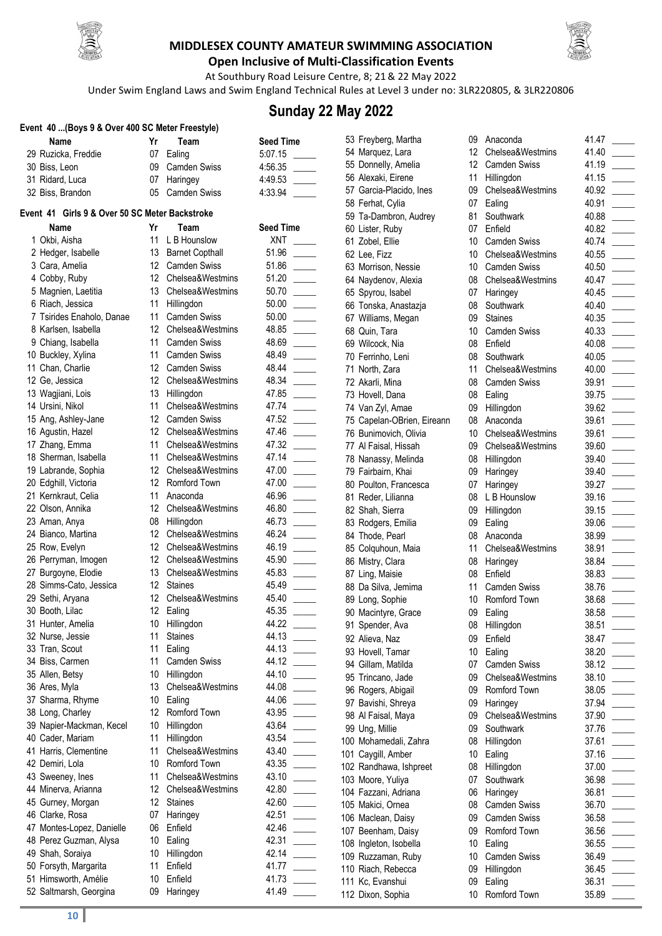



**Open Inclusive of Multi-Classification Events** At Southbury Road Leisure Centre, 8; 21& 22 May 2022

Under Swim England Laws and Swim England Technical Rules at Level 3 under no: 3LR220805, & 3LR220806

### **Sunday 22 May 2022**

|  |  |  |  |  |  |  |  |  | Event 40  (Boys 9 & Over 400 SC Meter Freestyle) |  |
|--|--|--|--|--|--|--|--|--|--------------------------------------------------|--|
|--|--|--|--|--|--|--|--|--|--------------------------------------------------|--|

| Name                | Team            | <b>Seed Time</b> |
|---------------------|-----------------|------------------|
| 29 Ruzicka, Freddie | 07 Ealing       | 5:07.15          |
| 30 Biss. Leon       | 09 Camden Swiss | 4:56.35          |
| 31 Ridard, Luca     | 07 Haringey     | 4:49.53          |

### Event 41 Girls 9 & Over 50 SC Met

| Name                      | Yr              | Team                   | <b>Seed Time</b> |
|---------------------------|-----------------|------------------------|------------------|
| 1 Okbi, Aisha             | 11              | L B Hounslow           | <b>XNT</b>       |
| 2 Hedger, Isabelle        | 13              | <b>Barnet Copthall</b> | 51.96            |
| 3 Cara, Amelia            | 12              | Camden Swiss           | 51.86            |
| 4 Cobby, Ruby             | 12 <sup>°</sup> | Chelsea&Westmins       | 51.20            |
| 5 Magnien, Laetitia       | 13              | Chelsea&Westmins       | 50.70            |
| 6 Riach, Jessica          | 11              | Hillingdon             | 50.00            |
| 7 Tsirides Enaholo, Danae | 11              | <b>Camden Swiss</b>    | 50.00            |
| 8 Karlsen, Isabella       | 12              | Chelsea&Westmins       | 48.85            |
| 9 Chiang, Isabella        | 11              | Camden Swiss           | 48.69            |
| 10 Buckley, Xylina        | 11              | <b>Camden Swiss</b>    | 48.49            |
| 11 Chan, Charlie          | 12              | Camden Swiss           | 48.44            |
| 12 Ge, Jessica            | 12              | Chelsea&Westmins       | 48.34            |
| 13 Wagjiani, Lois         | 13              | Hillingdon             | 47.85            |
| 14 Ursini, Nikol          | 11              | Chelsea&Westmins       | 47.74            |
| 15 Ang, Ashley-Jane       | 12              | <b>Camden Swiss</b>    | 47.52            |
| 16 Agustin, Hazel         | 12 <sup>°</sup> | Chelsea&Westmins       | 47.46            |
| 17 Zhang, Emma            | 11              | Chelsea&Westmins       | 47.32            |
| 18 Sherman, Isabella      | 11              | Chelsea&Westmins       | 47.14            |
| 19 Labrande, Sophia       | 12 <sup>°</sup> | Chelsea&Westmins       | 47.00            |
| 20 Edghill, Victoria      | 12              | Romford Town           | 47.00            |
| 21 Kernkraut, Celia       | 11              | Anaconda               | 46.96            |
| 22 Olson, Annika          | 12 <sup>2</sup> | Chelsea&Westmins       | 46.80            |
| 23 Aman, Anya             | 08              | Hillingdon             | 46.73            |
| 24 Bianco, Martina        | 12              | Chelsea&Westmins       | 46.24            |
| 25 Row, Evelyn            | 12              | Chelsea&Westmins       | 46.19            |
| 26 Perryman, Imogen       | 12 <sup>2</sup> | Chelsea&Westmins       | 45.90            |
| 27 Burgoyne, Elodie       | 13              | Chelsea&Westmins       | 45.83            |
| 28 Simms-Cato, Jessica    | 12              | <b>Staines</b>         | 45.49            |
| 29 Sethi, Aryana          | 12              | Chelsea&Westmins       | 45.40            |
| 30 Booth, Lilac           | 12              | Ealing                 | 45.35            |
| 31 Hunter, Amelia         | 10              | Hillingdon             | 44.22            |
| 32 Nurse, Jessie          | 11              | <b>Staines</b>         | 44.13            |
| 33 Tran, Scout            | 11              | Ealing                 | 44.13            |
| 34 Biss, Carmen           | 11              | <b>Camden Swiss</b>    | 44.12            |
| 35 Allen, Betsy           | 10              | Hillingdon             | 44.10            |
| 36 Ares, Myla             | 13              | Chelsea&Westmins       | 44.08            |
| 37 Sharma, Rhyme          | 10              | Ealing                 | 44.06            |
| 38 Long, Charley          | 12              | Romford Town           | 43.95            |
| 39 Napier-Mackman, Kecel  | 10              | Hillingdon             | 43.64            |
| 40 Cader, Mariam          | 11              | Hillingdon             | 43.54            |
| 41 Harris, Clementine     | 11              | Chelsea&Westmins       | 43.40            |
| 42 Demiri, Lola           | 10              | Romford Town           | 43.35            |
| 43 Sweeney, Ines          | 11              | Chelsea&Westmins       | 43.10            |
| 44 Minerva, Arianna       | 12 <sup>2</sup> | Chelsea&Westmins       | 42.80            |
| 45 Gurney, Morgan         | 12 <sup>°</sup> | <b>Staines</b>         | 42.60            |
| 46 Clarke, Rosa           | 07              | Haringey               | 42.51            |
| 47 Montes-Lopez, Danielle | 06              | Enfield                | 42.46            |
| 48 Perez Guzman, Alysa    | 10              | Ealing                 | 42.31            |
| 49 Shah, Soraiya          | 10              | Hillingdon             | 42.14            |
| 50 Forsyth, Margarita     | 11              | Enfield                | 41.77            |
| 51 Himsworth, Amélie      | 10              | Enfield                | 41.73            |
| 52 Saltmarch Georgina     |                 | 00 Haringey            | 11 10            |

| 31 Ridard, Luca                               | 07              | Haringey               | 4:49.53          |  |
|-----------------------------------------------|-----------------|------------------------|------------------|--|
| 32 Biss, Brandon                              | 05              | <b>Camden Swiss</b>    | 4:33.94          |  |
|                                               |                 |                        |                  |  |
| vent 41 Girls 9 & Over 50 SC Meter Backstroke |                 |                        |                  |  |
| Name                                          | Yr              | Team                   | <b>Seed Time</b> |  |
| 1 Okbi, Aisha                                 | 11              | L B Hounslow           | <b>XNT</b>       |  |
| 2 Hedger, Isabelle                            | 13              | <b>Barnet Copthall</b> | 51.96            |  |
| 3 Cara, Amelia                                | 12.             | <b>Camden Swiss</b>    | 51.86            |  |
| 4 Cobby, Ruby                                 | 12              | Chelsea&Westmins       | 51.20            |  |
| 5 Magnien, Laetitia                           | 13              | Chelsea&Westmins       | 50.70            |  |
| 6 Riach, Jessica                              | 11              | Hillingdon             | 50.00            |  |
| 7 Tsirides Enaholo, Danae                     | 11              | <b>Camden Swiss</b>    | 50.00            |  |
| 8 Karlsen, Isabella                           | 12              | Chelsea&Westmins       | 48.85            |  |
| 9 Chiang, Isabella                            | 11              | <b>Camden Swiss</b>    | 48.69            |  |
| 10 Buckley, Xylina                            | 11              | <b>Camden Swiss</b>    | 48.49            |  |
| 11 Chan, Charlie                              | 12              | <b>Camden Swiss</b>    | 48.44            |  |
| 12 Ge, Jessica                                | 12              | Chelsea&Westmins       | 48.34            |  |
| 13 Wagjiani, Lois                             | 13              | Hillingdon             | 47.85            |  |
| 14 Ursini, Nikol                              | 11              | Chelsea&Westmins       | 47.74            |  |
| 15 Ang, Ashley-Jane                           | 12              | <b>Camden Swiss</b>    | 47.52            |  |
|                                               | 12              | Chelsea&Westmins       | 47.46            |  |
| 16 Agustin, Hazel                             | 11              | Chelsea&Westmins       |                  |  |
| 17 Zhang, Emma                                |                 | Chelsea&Westmins       | 47.32            |  |
| 18 Sherman, Isabella                          | 11              |                        | 47.14            |  |
| 19 Labrande, Sophia                           | 12              | Chelsea&Westmins       | 47.00            |  |
| 20 Edghill, Victoria                          | 12              | Romford Town           | 47.00            |  |
| 21 Kernkraut, Celia                           | 11              | Anaconda               | 46.96            |  |
| 22 Olson, Annika                              | 12              | Chelsea&Westmins       | 46.80            |  |
| 23 Aman, Anya                                 | 08              | Hillingdon             | 46.73            |  |
| 24 Bianco, Martina                            | 12              | Chelsea&Westmins       | 46.24            |  |
| 25 Row, Evelyn                                | 12              | Chelsea&Westmins       | 46.19            |  |
| 26 Perryman, Imogen                           | 12              | Chelsea&Westmins       | 45.90            |  |
| 27 Burgoyne, Elodie                           | 13              | Chelsea&Westmins       | 45.83            |  |
| 28 Simms-Cato, Jessica                        | 12              | <b>Staines</b>         | 45.49            |  |
| 29 Sethi, Aryana                              | 12              | Chelsea&Westmins       | 45.40            |  |
| 30 Booth, Lilac                               | 12              | Ealing                 | 45.35            |  |
| 31 Hunter, Amelia                             | 10              | Hillingdon             | 44.22            |  |
| 32 Nurse, Jessie                              | 11              | Staines                | 44.13            |  |
| 33 Tran, Scout                                | 11              | Ealing                 | 44.13            |  |
| 34 Biss, Carmen                               | 11              | <b>Camden Swiss</b>    | 44.12            |  |
| 35 Allen, Betsy                               |                 | 10 Hillingdon          | 44.10            |  |
| 36 Ares, Myla                                 | 13              | Chelsea&Westmins       | 44.08            |  |
| 37 Sharma, Rhyme                              | 10              | Ealing                 | 44.06            |  |
| 38 Long, Charley                              | 12 <sup>°</sup> | Romford Town           | 43.95            |  |
| 39 Napier-Mackman, Kecel                      | 10              | Hillingdon             | 43.64            |  |
| 40 Cader, Mariam                              | 11              | Hillingdon             | 43.54            |  |
| 41 Harris, Clementine                         | 11              | Chelsea&Westmins       | 43.40            |  |
| 42 Demiri, Lola                               | 10              | Romford Town           | 43.35            |  |
| 43 Sweeney, Ines                              | 11              | Chelsea&Westmins       | 43.10            |  |
| 44 Minerva, Arianna                           | 12              | Chelsea&Westmins       | 42.80            |  |
| 45 Gurney, Morgan                             | 12              | <b>Staines</b>         | 42.60            |  |
| 46 Clarke, Rosa                               | 07              | Haringey               | 42.51            |  |
| 47 Montes-Lopez, Danielle                     | 06              | Enfield                | 42.46            |  |
| 48 Perez Guzman, Alysa                        | 10              | Ealing                 | 42.31            |  |
| 49 Shah, Soraiya                              | 10              | Hillingdon             | 42.14            |  |
| 50 Forsyth, Margarita                         | 11              | Enfield                | 41.77            |  |
| 51 Himsworth, Amélie                          | 10              | Enfield                | 41.73            |  |
| 52 Saltmarsh, Georgina                        | 09              | Haringey               | 41.49            |  |
|                                               |                 |                        |                  |  |

|                                       | lime        | 53       | F                |
|---------------------------------------|-------------|----------|------------------|
| 5<br>5<br>3                           |             | 54       | N                |
|                                       |             | 55<br>56 | C<br>A           |
| 4                                     |             | 57       | G                |
|                                       |             | 58       | F                |
|                                       |             | 59       | T                |
|                                       | <b>Time</b> | 60       | L                |
|                                       |             | 61       | Z                |
|                                       |             | 62       | L                |
|                                       |             | 63       | N                |
|                                       |             | 64       | N                |
|                                       |             | 65       | S                |
|                                       |             | 66       | T                |
|                                       |             | 67       | V                |
|                                       |             | 68       | $\mathsf{C}$     |
|                                       |             | 69       | V<br>F<br>N      |
|                                       |             | 70       |                  |
|                                       |             | 71       |                  |
|                                       |             | 72       | A<br>H           |
|                                       |             | 73       |                  |
|                                       |             | 74       | V                |
|                                       |             | 75       | $\mathsf{C}$     |
|                                       |             | 76       | B                |
|                                       |             | 77       | A                |
|                                       |             | 78<br>79 |                  |
|                                       |             | 80       |                  |
| 4 5 4 2 3 2 4 0 0 3 3 4 9 0 3 9 0 5 2 |             | 81       | N<br>F<br>F<br>F |
|                                       |             | 82       | S                |
|                                       |             | 83       | F                |
|                                       |             | 84       | T                |
|                                       |             | 85       | $\mathsf{C}$     |
|                                       |             | 86       | N                |
|                                       |             | 87       | L                |
|                                       |             | 88       | C                |
|                                       |             | 89       | L<br>N           |
|                                       |             | 90       |                  |
|                                       |             | 91       | S                |
| 3                                     |             | 92       | A                |
| 3                                     |             | 93       | $\vdash$         |
|                                       |             | 94       | G                |
|                                       |             | 95       | Ţ                |
| 2 )<br>3 )<br>5 )<br>4                |             | 96       | F                |
|                                       |             | 97       | B                |
|                                       |             | 98<br>99 | A<br>U           |
| 4                                     |             | 100      | N                |
|                                       |             | 101      | $\mathsf{C}$     |
|                                       |             | 102      | R                |
|                                       |             | 103      | N                |
| ว<br>5<br>ว<br>ว                      |             | 104      | F                |
|                                       |             | 105      | Ν                |
| 1                                     |             | 106      | N                |
| $\hat{c}$                             |             | 107      | B                |
| 1                                     |             | 108      | Ir               |
| 4                                     |             | 109      | F                |
| $\overline{1}$                        |             | 110      | F                |
| 3                                     |             | 111      | K                |

Freyberg, Martha 209 Farquez, Lara **12** 35 Donnelly, Amelia Camaden Swiss 42 56 Alexaki, Eirene 11 Hillingdon 41.15 \_\_\_\_\_ Ferhat, Cylia **19.91 19.91 19.91 19.91 19.91 19.91 19.91 19.91 19.91 19.91 19.91 19.91 19.91 19.91 19.91 19.91 19.91 19.91 19.91 19.91 19.91 19.91 19.91 19.91 19.91 19.91 19.91 19.91 19.91 19.91 19.91 19.91 19.91 19.91 19.** Fa-Dambron, Audrey 81. ister, Ruby **07** 61 Zobel, Ellie 10 Camden Swiss 40.74 \_\_\_\_\_ 63 Morrison, Nessie 610. kaydenov, Alexia comedia 08 Spyrou, Isabel 07 Fonska, Anastazia  $^{60}$ Villiams, Megan 609 and Cambridge Cambridge Swiss 40.33 and Swiss 40.33 and Swiss 40.33 and Swiss 40.33 and Swiss 40.33 and Swiss Vilcock, Nia  $^{08}$ Ferrinho, Leni **08 The Vorth, Zara** 20.000  $\frac{11}{2}$ 12 Akarli, Mina Camaden Swiss 39.91 Akarli, Mina Swiss 39.91 Akarli, 1988. Fovell, Dana **19.75 and 39.75 and 39.75 and 39.75 and 3** an Zyl, Amae 09. 25 Capelan-OBrien, Eireann anac 3unimovich, Olivia 10 17 Al Faisal, Hissah 199 Vanassy, Melinda 198.40 Fairbairn, Khai 199.40 anns 109.40 anns 109.40 anns 109.40 anns 109.40 anns 109.40 anns 109.40 anns 109.40 ann Poulton, Francesca 07 Reder, Lilianna and an Bounslow 308. Shah, Sierra 199.15 09. Rodgers, Emilia **20.08 a.**09 **184 Thode, Pearl 188.99 28.99 Analysis** 20 Colquhoun, Maia amamny 311 Aistry, Clara **38.84 and 38.84 and 38.84 and 38.84 and 38.84 and 38.84 and 38.84 and 38.84 and 38.84 and 38.84 a** Ing, Maisie 28.83 and 38.83 and 38.83 and 38.83 and 38.83 and 38.83 and 38.83 and 38.83 and 38.83 and 38.83 an a Silva, Jemima ang isang 31 ong, Sophie 10 99 Macintyre, Grace 199<br>198.509 bender. Ava Spender, Ava Alieva, Naz  $09$ Hovell, Tamar 10 31 Billam, Matilda **38.12 Land Swiss 38.12 Land Swiss 38.12** Trincano, Jade 09 Pogers, Abigail 69.09 99 Bavishi, Shreya 1 Faisal, Maya Chelsea Bassar erg, Millie 1998 and 37.76 and 37.76 and 37.76 and 37.76 and 37.76 and 37.76 and 37.76 and 37.76 and 37.76 and 10 Mohamedali, Zahra  $108$ aygill, Amber 10 Randhawa, Ishpreet 08 103 Moore, Yuliya 107 Fazzani, Adriana  $106$ 105 Makici, Ornea Camaden Swiss 36.70 and Swiss 36.70 and Swiss 36.70 and Swiss 36.70 and Swiss 36.70 and Swis 1aclean, Daisy 69.58 109 Beenham, Daisy and Seenham, Daisy ngleton, Isobella 10 Ruzzaman, Ruby 10  $Riach, Rebecca$  09 111 Kc, Evanshui 1112 aastad 36.31 aastad 36.31 aastad 36.31 aastad 36.31 aastad 36.31 aastad 36.31 aastad 36. 112 Dixon, Sophia 10

| 53 Freyberg, Martna        | UY.             | Anaconda            | 41.47 |  |
|----------------------------|-----------------|---------------------|-------|--|
| 54 Marquez, Lara           | 12              | Chelsea&Westmins    | 41.40 |  |
| 55 Donnelly, Amelia        | 12              | <b>Camden Swiss</b> | 41.19 |  |
| 56 Alexaki, Eirene         | 11              | Hillingdon          | 41.15 |  |
| 57 Garcia-Placido, Ines    | 09              | Chelsea&Westmins    | 40.92 |  |
| 58 Ferhat, Cylia           | 07              | Ealing              | 40.91 |  |
| 59 Ta-Dambron, Audrey      | 81              | Southwark           | 40.88 |  |
|                            | 07              | Enfield             |       |  |
| 60 Lister, Ruby            |                 |                     | 40.82 |  |
| 61 Zobel, Ellie            | 10              | <b>Camden Swiss</b> | 40.74 |  |
| 62 Lee, Fizz               | 10              | Chelsea&Westmins    | 40.55 |  |
| 63 Morrison, Nessie        | 10              | <b>Camden Swiss</b> | 40.50 |  |
| 64 Naydenov, Alexia        | 08              | Chelsea&Westmins    | 40.47 |  |
| 65 Spyrou, Isabel          | 07              | Haringey            | 40.45 |  |
| 66 Tonska, Anastazja       | 08              | Southwark           | 40.40 |  |
| 67 Williams, Megan         | 09              | <b>Staines</b>      | 40.35 |  |
| 68 Quin, Tara              | 10              | Camden Swiss        | 40.33 |  |
| 69 Wilcock, Nia            | 08              | Enfield             | 40.08 |  |
| 70 Ferrinho, Leni          | 08              | Southwark           | 40.05 |  |
|                            | 11              | Chelsea&Westmins    | 40.00 |  |
| 71 North, Zara             |                 |                     |       |  |
| 72 Akarli, Mina            | 08              | <b>Camden Swiss</b> | 39.91 |  |
| 73 Hovell, Dana            | 08              | Ealing              | 39.75 |  |
| 74 Van Zyl, Amae           | 09              | Hillingdon          | 39.62 |  |
| 75 Capelan-OBrien, Eireann | 08              | Anaconda            | 39.61 |  |
| 76 Bunimovich, Olivia      | 10              | Chelsea&Westmins    | 39.61 |  |
| 77 Al Faisal, Hissah       | 09              | Chelsea&Westmins    | 39.60 |  |
| 78 Nanassy, Melinda        | 08              | Hillingdon          | 39.40 |  |
| 79 Fairbairn, Khai         | 09              | Haringey            | 39.40 |  |
| 80 Poulton, Francesca      | 07              | Haringey            | 39.27 |  |
| 81 Reder, Lilianna         | 08              | L B Hounslow        | 39.16 |  |
| 82 Shah, Sierra            | 09              | Hillingdon          | 39.15 |  |
|                            | 09              |                     | 39.06 |  |
| 83 Rodgers, Emilia         |                 | Ealing              |       |  |
| 84 Thode, Pearl            | 08              | Anaconda            | 38.99 |  |
| 85 Colquhoun, Maia         | 11              | Chelsea&Westmins    | 38.91 |  |
| 86 Mistry, Clara           | 08              | Haringey            | 38.84 |  |
| 87 Ling, Maisie            | 08              | Fnfield             | 38.83 |  |
| 88 Da Silva, Jemima        | 11              | <b>Camden Swiss</b> | 38.76 |  |
| 89 Long, Sophie            | 10 <sup>°</sup> | Romford Town        | 38.68 |  |
| 90 Macintyre, Grace        | 09              | Ealing              | 38.58 |  |
| 91 Spender, Ava            | 08              | Hillingdon          | 38.51 |  |
| 92 Alieva, Naz             |                 | 09 Enfield          | 38.47 |  |
| 93 Hovell, Tamar           | 10              | Ealing              | 38.20 |  |
| 94 Gillam, Matilda         | 07              | Camden Swiss        | 38.12 |  |
|                            | 09              | Chelsea&Westmins    | 38.10 |  |
| 95 Trincano, Jade          |                 |                     |       |  |
| 96 Rogers, Abigail         | 09              | Romford Town        | 38.05 |  |
| 97 Bavishi, Shreya         | 09              | Haringey            | 37.94 |  |
| 98 Al Faisal, Maya         | 09              | Chelsea&Westmins    | 37.90 |  |
| 99 Ung, Millie             | 09              | Southwark           | 37.76 |  |
| 00 Mohamedali, Zahra       | 08              | Hillingdon          | 37.61 |  |
| 01 Caygill, Amber          | 10              | Ealing              | 37.16 |  |
| 02 Randhawa, Ishpreet      | 08              | Hillingdon          | 37.00 |  |
| 03 Moore, Yuliya           | 07              | Southwark           | 36.98 |  |
| 04 Fazzani, Adriana        | 06              | Haringey            | 36.81 |  |
| 05 Makici, Ornea           | 08              | Camden Swiss        | 36.70 |  |
| 06 Maclean, Daisy          | 09              | Camden Swiss        | 36.58 |  |
| 07 Beenham, Daisy          | 09              | Romford Town        | 36.56 |  |
|                            |                 |                     |       |  |
| 08 Ingleton, Isobella      | 10              | Ealing              | 36.55 |  |
| 09 Ruzzaman, Ruby          | 10              | Camden Swiss        | 36.49 |  |
| 10 Riach, Rebecca          | 09              | Hillingdon          | 36.45 |  |
| 11 Kc, Evanshui            | 09              | Ealing              | 36.31 |  |
| 12 Dixon, Sophia           | 10              | Romford Town        | 35.89 |  |
|                            |                 |                     |       |  |

**10**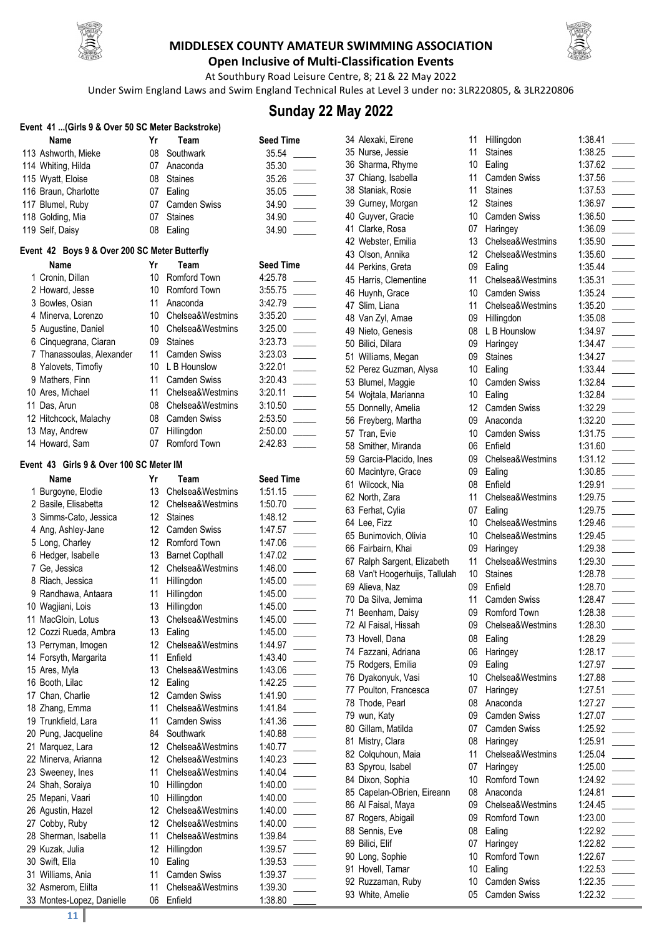



**Open Inclusive of Multi-Classification Events** At Southbury Road Leisure Centre, 8; 21& 22 May 2022

Under Swim England Laws and Swim England Technical Rules at Level 3 under no: 3LR220805, & 3LR220806

### **Sunday 22 May 2022**

| Event 41  (Girls 9 & Over 50 SC Meter Backstroke)     |                 |                          |                    |
|-------------------------------------------------------|-----------------|--------------------------|--------------------|
| Name                                                  | Yr              | Team                     | <b>Seed Time</b>   |
| 113 Ashworth, Mieke                                   | 08              | Southwark                | 35.54              |
| 114 Whiting, Hilda                                    | 07              | Anaconda                 | 35.30              |
| 115 Wyatt, Eloise                                     | 08              | <b>Staines</b>           | 35.26              |
| 116 Braun, Charlotte                                  | 07              | Ealing                   | 35.05              |
| 117 Blumel, Ruby                                      | 07              | <b>Camden Swiss</b>      | 34.90              |
| 118 Golding, Mia                                      | 07              | <b>Staines</b>           | 34.90              |
| 119 Self, Daisy                                       | 08              | Ealing                   | 34.90              |
|                                                       |                 |                          |                    |
| Event 42 Boys 9 & Over 200 SC Meter Butterfly<br>Name | Yr              | Team                     | <b>Seed Time</b>   |
| 1 Cronin, Dillan                                      | 10              | Romford Town             | 4:25.78            |
| 2 Howard, Jesse                                       | 10              | Romford Town             | 3:55.75            |
| 3 Bowles, Osian                                       | 11              | Anaconda                 | 3:42.79            |
| 4 Minerva, Lorenzo                                    |                 | 10 Chelsea&Westmins      | 3:35.20            |
| 5 Augustine, Daniel                                   | 10              | Chelsea&Westmins         | 3:25.00            |
| 6 Cinquegrana, Ciaran                                 | 09              | <b>Staines</b>           | 3:23.73            |
| 7 Thanassoulas, Alexander                             | 11              | <b>Camden Swiss</b>      | 3:23.03            |
| 8 Yalovets, Timofiy                                   | 10              | L B Hounslow             | 3:22.01            |
| 9 Mathers, Finn                                       | 11              | <b>Camden Swiss</b>      | 3:20.43            |
| 10 Ares, Michael                                      | 11              | Chelsea&Westmins         | 3:20.11            |
| 11 Das, Arun                                          | 08              | Chelsea&Westmins         | 3:10.50            |
| 12 Hitchcock, Malachy                                 | 08              | <b>Camden Swiss</b>      | 2:53.50            |
| 13 May, Andrew                                        | 07              | Hillingdon               | 2:50.00            |
| 14 Howard, Sam                                        | 07              | Romford Town             | 2:42.83            |
|                                                       |                 |                          |                    |
| Event 43 Girls 9 & Over 100 SC Meter IM               |                 |                          |                    |
| Name                                                  | Yr              | Team                     | <b>Seed Time</b>   |
| 1 Burgoyne, Elodie                                    | 13              | Chelsea&Westmins         | 1:51.15            |
| 2 Basile, Elisabetta                                  | 12              | Chelsea&Westmins         | 1:50.70            |
| 3 Simms-Cato, Jessica                                 | 12              | <b>Staines</b>           | 1:48.12            |
| 4 Ang, Ashley-Jane                                    | 12 <sup>°</sup> | <b>Camden Swiss</b>      | 1:47.57            |
| 5 Long, Charley                                       | 12              | Romford Town             | 1:47.06            |
| 6 Hedger, Isabelle                                    | 13              | <b>Barnet Copthall</b>   | 1:47.02            |
| 7 Ge, Jessica                                         | 12              | Chelsea&Westmins         | 1:46.00            |
| 8 Riach, Jessica<br>9 Randhawa, Antaara               | 11<br>11        | Hillingdon               | 1:45.00<br>1:45.00 |
| 10 Wagjiani, Lois                                     | 13              | Hillingdon<br>Hillingdon | 1:45.00            |
|                                                       | 13              | Chelsea&Westmins         | 1:45.00            |
| 11 MacGloin, Lotus<br>12 Cozzi Rueda, Ambra           | 13              | Ealing                   | 1:45.00            |
| 13 Perryman, Imogen                                   | 12 <sup>2</sup> | Chelsea&Westmins         | 1:44.97            |
| 14 Forsyth, Margarita                                 | 11              | Enfield                  | 1:43.40            |
| 15 Ares, Myla                                         | 13              | Chelsea&Westmins         | 1:43.06            |
| 16 Booth, Lilac                                       | 12              | Ealing                   | 1:42.25            |
| 17 Chan, Charlie                                      | 12              | Camden Swiss             | 1:41.90            |
| 18 Zhang, Emma                                        | 11              | Chelsea&Westmins         | 1:41.84            |
| 19 Trunkfield, Lara                                   | 11              | <b>Camden Swiss</b>      | 1:41.36            |
| 20 Pung, Jacqueline                                   | 84              | Southwark                | 1:40.88            |
| 21 Marquez, Lara                                      | 12              | Chelsea&Westmins         | 1:40.77            |
| 22 Minerva, Arianna                                   | 12              | Chelsea&Westmins         | 1:40.23            |
| 23 Sweeney, Ines                                      | 11              | Chelsea&Westmins         | 1:40.04            |
| 24 Shah, Soraiya                                      | 10              | Hillingdon               | 1:40.00            |
| 25 Mepani, Vaari                                      | 10              | Hillingdon               | 1:40.00            |
| 26 Agustin, Hazel                                     | 12              | Chelsea&Westmins         | 1:40.00            |
| 27 Cobby, Ruby                                        | 12              | Chelsea&Westmins         | 1:40.00            |
| 28 Sherman, Isabella                                  | 11              | Chelsea&Westmins         | 1:39.84            |
| 29 Kuzak, Julia                                       | 12              | Hillingdon               | 1:39.57            |
| 30 Swift, Ella                                        | 10              | Ealing                   | 1:39.53            |
| 31 Williams, Ania                                     | 11              | <b>Camden Swiss</b>      | 1:39.37            |
| 32 Asmerom, Elilta                                    | 11              | Chelsea&Westmins         | 1:39.30            |
| 33 Montes-Lopez, Danielle                             | 06              | Enfield                  | 1:38.80            |

| 34 Alexaki, Eirene           |
|------------------------------|
| 35 Nurse, Jessie             |
|                              |
| 36 Sharma, Rhyme             |
| 37 Chiang, Isabella          |
| 38 Staniak, Rosie            |
| 39 Gurney, Morgan            |
| 40 Guyver, Gracie            |
| 41 Clarke, Rosa              |
| 42 Webster, Emilia           |
| 43 Olson, Annika             |
| 44 Perkins, Greta            |
| 45 Harris, Clementine        |
| 46 Huynh, Grace              |
|                              |
| 47 Slim, Liana               |
| 48 Van Zyl, Amae             |
| 49 Nieto, Genesis            |
| 50 Bilici, Dilara            |
| 51 Williams, Megan           |
| 52 Perez Guzman, Alysa       |
| 53 Blumel, Maggie            |
| 54 Wojtala, Marianna         |
| 55 Donnelly, Amelia          |
| 56 Freyberg, Martha          |
| 57 Tran, Evie                |
| 58 Smither, Miranda          |
|                              |
| 59 Garcia-Placido, Ines      |
| 60 Macintyre, Grace          |
| 61 Wilcock, Nia              |
| 62 North, Zara               |
| 63 Ferhat, Cylia             |
| 64 Lee, Fizz                 |
| 65 Bunimovich, Olivia        |
| 66 Fairbairn, Khai           |
| 67 Ralph Sargent, Elizabeth  |
| 68 Van't Hoogerhuijs, Tallul |
| 69 Alieva, Naz               |
| 70 Da Silva, Jemima          |
| 71 Beenham, Daisy            |
|                              |
| 72 Al Faisal, Hissah         |
| 73 Hovell, Dana              |
| 74 Fazzani, Adriana          |
| 75 Rodgers, Emilia           |
| 76 Dyakonyuk, Vasi           |
| 77 Poulton, Francesca        |
| 78 Thode, Pearl              |
| 79 wun, Katy                 |
| 80 Gillam, Matilda           |
| 81 Mistry, Clara             |
| 82 Colquhoun, Maia           |
|                              |
| 83 Spyrou, Isabel            |
| 84 Dixon, Sophia             |
| 85 Capelan-OBrien, Eireanr   |
| 86 Al Faisal, Maya           |
| 87 Rogers, Abigail           |
| 88 Sennis, Eve               |
| 89 Bilici, Elif              |
| 90 Long, Sophie              |
| 91 Hovell, Tamar             |
| 92 Ruzzaman, Ruby            |
| 93 White, Amelie             |
|                              |

| 34 Alexaki, Eirene             | 11              | Hillingdon          | 1:38.41 |  |
|--------------------------------|-----------------|---------------------|---------|--|
| 35 Nurse, Jessie               | 11              | <b>Staines</b>      | 1:38.25 |  |
| 36 Sharma, Rhyme               | 10              | Ealing              | 1:37.62 |  |
| 37 Chiang, Isabella            | 11              | <b>Camden Swiss</b> | 1:37.56 |  |
| 38 Staniak, Rosie              | 11              | <b>Staines</b>      | 1:37.53 |  |
| 39 Gurney, Morgan              | 12              | <b>Staines</b>      | 1:36.97 |  |
| 40 Guyver, Gracie              | 10              | <b>Camden Swiss</b> | 1:36.50 |  |
| 41 Clarke, Rosa                | 07              | Haringey            | 1:36.09 |  |
| 42 Webster, Emilia             | 13              | Chelsea&Westmins    | 1:35.90 |  |
| 43 Olson, Annika               | 12              | Chelsea&Westmins    | 1:35.60 |  |
| 44 Perkins, Greta              | 09              | Ealing              | 1:35.44 |  |
| 45 Harris, Clementine          | 11              | Chelsea&Westmins    | 1:35.31 |  |
| 46 Huynh, Grace                | 10              | <b>Camden Swiss</b> | 1:35.24 |  |
| 47 Slim, Liana                 | 11              | Chelsea&Westmins    | 1:35.20 |  |
| 48 Van Zyl, Amae               | 09              | Hillingdon          | 1:35.08 |  |
| 49 Nieto, Genesis              | 08              | L B Hounslow        | 1:34.97 |  |
| 50 Bilici, Dilara              | 09              | Haringey            | 1:34.47 |  |
| 51 Williams, Megan             | 09              | <b>Staines</b>      | 1:34.27 |  |
| 52 Perez Guzman, Alysa         | 10              | Ealing              | 1:33.44 |  |
| 53 Blumel, Maggie              | 10              | <b>Camden Swiss</b> | 1:32.84 |  |
| 54 Wojtala, Marianna           | 10              | Ealing              | 1:32.84 |  |
| 55 Donnelly, Amelia            | 12              | Camden Swiss        | 1:32.29 |  |
| 56 Freyberg, Martha            | 09              | Anaconda            | 1:32.20 |  |
| 57 Tran, Evie                  | 10 <sup>°</sup> | <b>Camden Swiss</b> | 1:31.75 |  |
| 58 Smither, Miranda            | 06              | Enfield             | 1:31.60 |  |
| 59 Garcia-Placido, Ines        | 09              | Chelsea&Westmins    | 1:31.12 |  |
| 60 Macintyre, Grace            | 09              | Ealing              | 1:30.85 |  |
| 61 Wilcock, Nia                | 08              | Enfield             | 1:29.91 |  |
| 62 North, Zara                 | 11              | Chelsea&Westmins    | 1:29.75 |  |
| 63 Ferhat, Cylia               | 07              | Ealing              | 1:29.75 |  |
| 64 Lee, Fizz                   | 10              | Chelsea&Westmins    | 1:29.46 |  |
| 65 Bunimovich, Olivia          | 10              | Chelsea&Westmins    | 1:29.45 |  |
| 66 Fairbairn, Khai             | 09              | Haringey            | 1:29.38 |  |
| 67 Ralph Sargent, Elizabeth    | 11              | Chelsea&Westmins    | 1:29.30 |  |
| 68 Van't Hoogerhuijs, Tallulah | 10 <sup>°</sup> | <b>Staines</b>      | 1:28.78 |  |
| 69 Alieva, Naz                 | 09              | Enfield             | 1:28.70 |  |
| 70 Da Silva, Jemima            | 11              | <b>Camden Swiss</b> | 1:28.47 |  |
| 71 Beenham, Daisy              | 09              | Romford Town        | 1:28.38 |  |
| 72 Al Faisal, Hissah           | 09              | Chelsea&Westmins    | 1:28.30 |  |
|                                |                 |                     |         |  |
| 73 Hovell, Dana                | 08              | Ealing              | 1:28.29 |  |
| 74 Fazzani, Adriana            | 06              | Haringey            | 1:28.17 |  |
| 75 Rodgers, Emilia             | 09              | Ealing              | 1:27.97 |  |
| 76 Dyakonyuk, Vasi             | 10              | Chelsea&Westmins    | 1:27.88 |  |
| 77 Poulton, Francesca          | 07              | Haringey            | 1:27.51 |  |
| 78 Thode, Pearl                | 08              | Anaconda            | 1:27.27 |  |
| 79 wun, Katy                   | 09              | Camden Swiss        | 1:27.07 |  |
| 80 Gillam, Matilda             | 07              | Camden Swiss        | 1:25.92 |  |
| 81 Mistry, Clara               | 08              | Haringey            | 1:25.91 |  |
| 82 Colquhoun, Maia             | 11              | Chelsea&Westmins    | 1:25.04 |  |
| 83 Spyrou, Isabel              | 07              | Haringey            | 1:25.00 |  |
| 84 Dixon, Sophia               | 10              | Romford Town        | 1:24.92 |  |
| 85 Capelan-OBrien, Eireann     | 08              | Anaconda            | 1:24.81 |  |
| 86 Al Faisal, Maya             | 09              | Chelsea&Westmins    | 1:24.45 |  |
| 87 Rogers, Abigail             | 09              | Romford Town        | 1:23.00 |  |
| 88 Sennis, Eve                 | 08              | Ealing              | 1:22.92 |  |
| 89 Bilici, Elif                | 07              | Haringey            | 1:22.82 |  |
| 90 Long, Sophie                | 10              | Romford Town        | 1:22.67 |  |
| 91 Hovell, Tamar               | 10              | Ealing              | 1:22.53 |  |
| 92 Ruzzaman, Ruby              | 10              | Camden Swiss        | 1:22.35 |  |
| 93 White, Amelie               | 05              | Camden Swiss        | 1:22.32 |  |